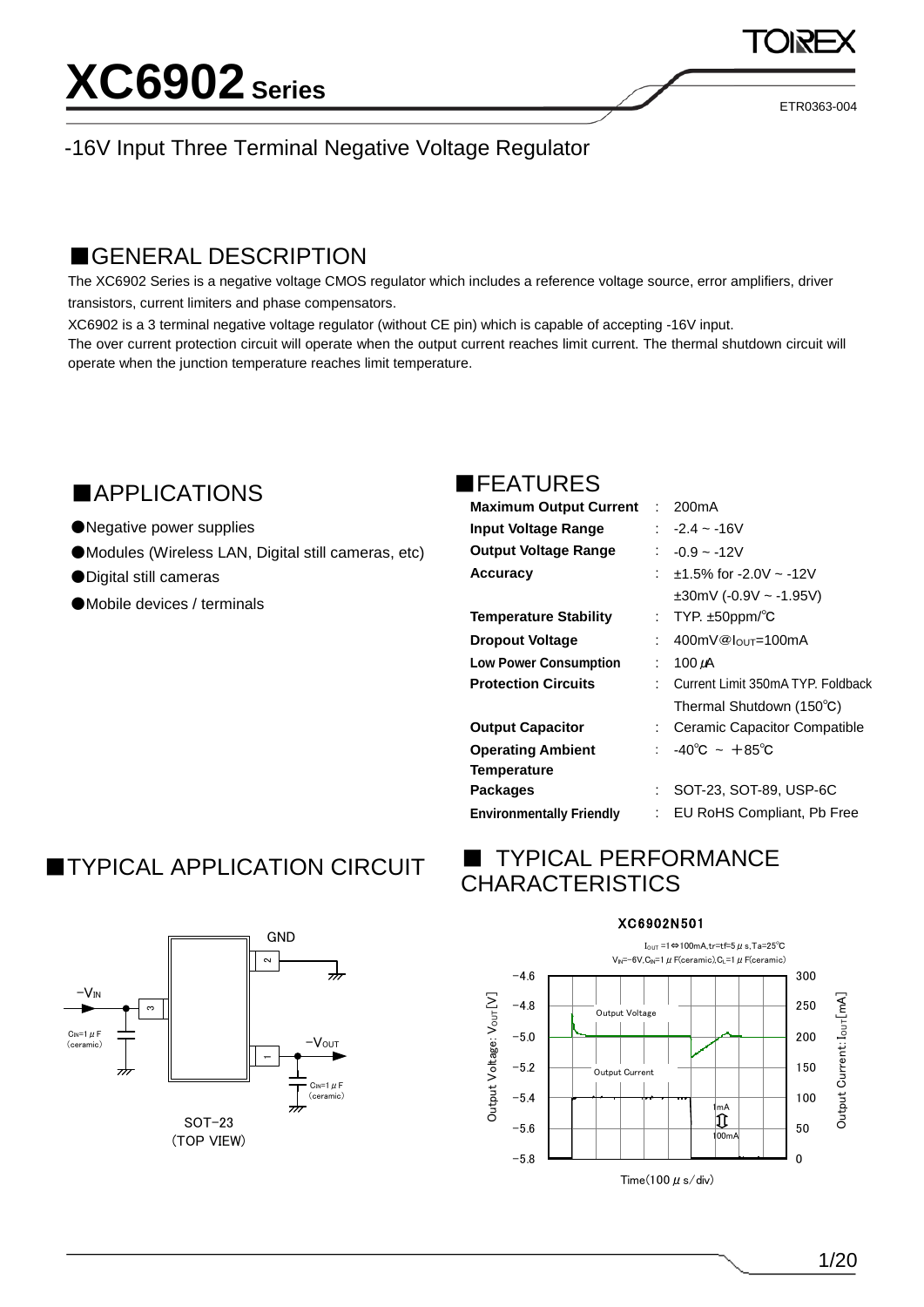ETR0363-004

## -16V Input Three Terminal Negative Voltage Regulator

## ■GENERAL DESCRIPTION

The XC6902 Series is a negative voltage CMOS regulator which includes a reference voltage source, error amplifiers, driver transistors, current limiters and phase compensators.

XC6902 is a 3 terminal negative voltage regulator (without CE pin) which is capable of accepting -16V input. The over current protection circuit will operate when the output current reaches limit current. The thermal shutdown circuit will operate when the junction temperature reaches limit temperature.

## ■APPLICATIONS

- ●Negative power supplies
- ●Modules (Wireless LAN, Digital still cameras, etc)
- ●Digital still cameras
- ●Mobile devices / terminals

### ■FEATURES

| Maximum Output Current : 200mA  |     |                                     |
|---------------------------------|-----|-------------------------------------|
| Input Voltage Range             |     | : $-2.4 - 16V$                      |
| Output Voltage Range            |     | : $-0.9 - 12V$                      |
| <b>Accuracy</b>                 |     | $\div$ +1.5% for -2.0V $\sim$ -12V  |
|                                 |     | $\pm 30$ mV (-0.9V ~ -1.95V)        |
| <b>Temperature Stability</b>    |     | : TYP. $\pm 50$ ppm/°C              |
| <b>Dropout Voltage</b>          | t.  | 400mV@l∩uτ=100mA                    |
| <b>Low Power Consumption</b>    |     | $: 100 \mu A$                       |
| <b>Protection Circuits</b>      |     | : Current Limit 350mA TYP. Foldback |
|                                 |     | Thermal Shutdown (150°C)            |
| <b>Output Capacitor</b>         |     | : Ceramic Capacitor Compatible      |
| <b>Operating Ambient</b>        |     | : $-40^{\circ}$ C ~ $+85^{\circ}$ C |
| <b>Temperature</b>              |     |                                     |
| <b>Packages</b>                 | t i | SOT-23, SOT-89, USP-6C              |
| <b>Environmentally Friendly</b> | ÷.  | EU RoHS Compliant, Pb Free          |

# **TYPICAL APPLICATION CIRCUIT**



# **TYPICAL PERFORMANCE CHARACTERISTICS**

### XC6902N501

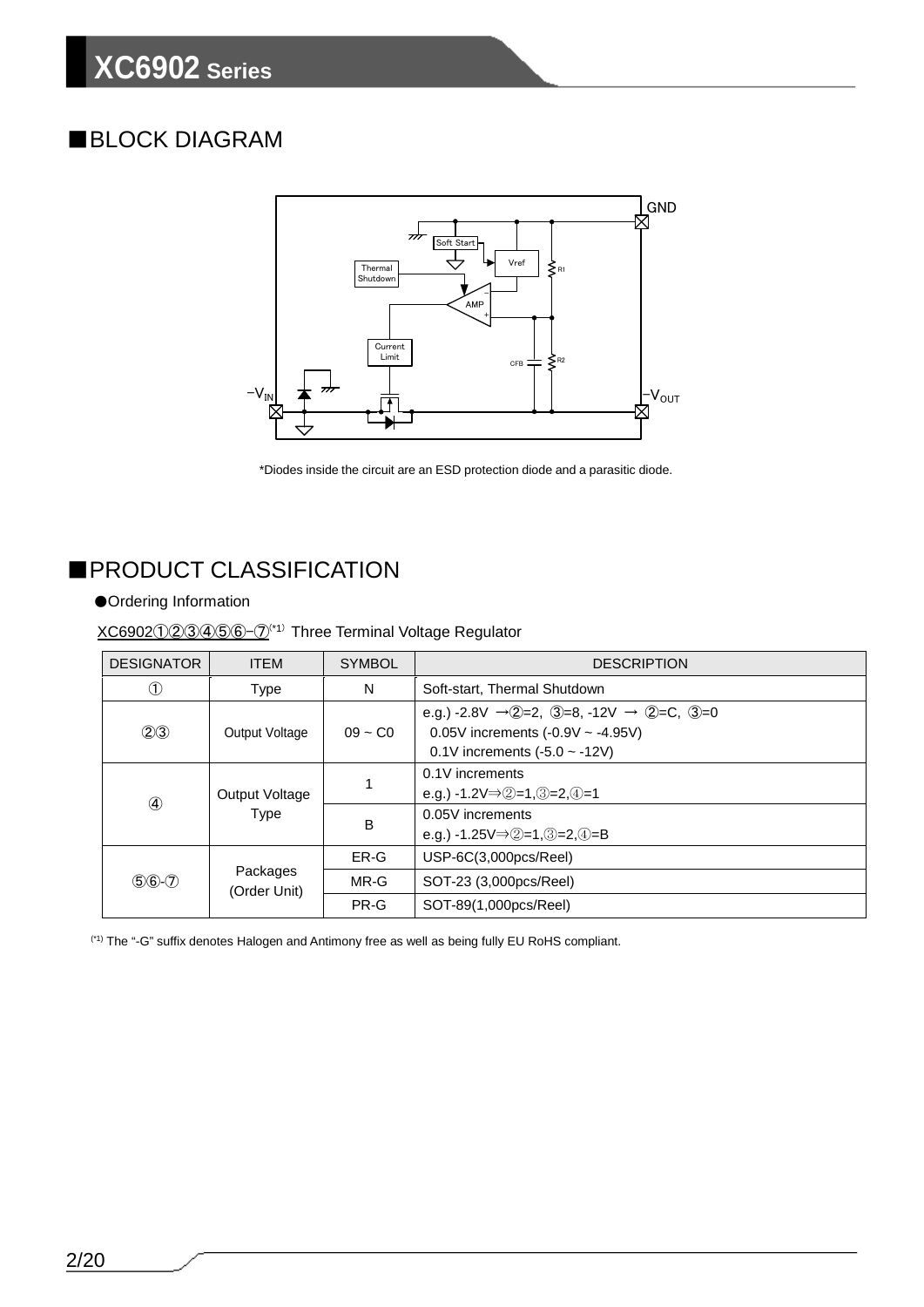# ■BLOCK DIAGRAM



\*Diodes inside the circuit are an ESD protection diode and a parasitic diode.

# ■PRODUCT CLASSIFICATION

### ●Ordering Information

XC6902①②③④⑤⑥-⑦(\*1) Three Terminal Voltage Regulator

| <b>DESIGNATOR</b> | <b>ITEM</b>           | <b>SYMBOL</b>                                                | <b>DESCRIPTION</b>                                                                                                                             |  |
|-------------------|-----------------------|--------------------------------------------------------------|------------------------------------------------------------------------------------------------------------------------------------------------|--|
| Œ                 | <b>Type</b>           | N                                                            | Soft-start, Thermal Shutdown                                                                                                                   |  |
| (2)3              | <b>Output Voltage</b> | $09 - C0$                                                    | e.g.) -2.8V $\rightarrow$ (2=2, 3=8, -12V $\rightarrow$ (2=C, 3=0<br>0.05V increments $(-0.9V - -4.95V)$<br>0.1V increments $(-5.0 \sim -12V)$ |  |
| $\circled{4}$     | <b>Output Voltage</b> | 1                                                            | 0.1V increments<br>e.g.) -1.2V $\Rightarrow$ 2=1, 3=2, 4=1                                                                                     |  |
| <b>Type</b>       | B                     | 0.05V increments<br>e.g.) -1.25 $V \Rightarrow 2=1,3=2,4=$ B |                                                                                                                                                |  |
|                   |                       | ER-G                                                         | $USP-6C(3,000pcs/Reel)$                                                                                                                        |  |
| $56 - 7$          | Packages<br>MR-G      |                                                              | SOT-23 (3,000pcs/Reel)                                                                                                                         |  |
|                   | (Order Unit)          | PR-G                                                         | SOT-89(1,000pcs/Reel)                                                                                                                          |  |

(\*1) The "-G" suffix denotes Halogen and Antimony free as well as being fully EU RoHS compliant.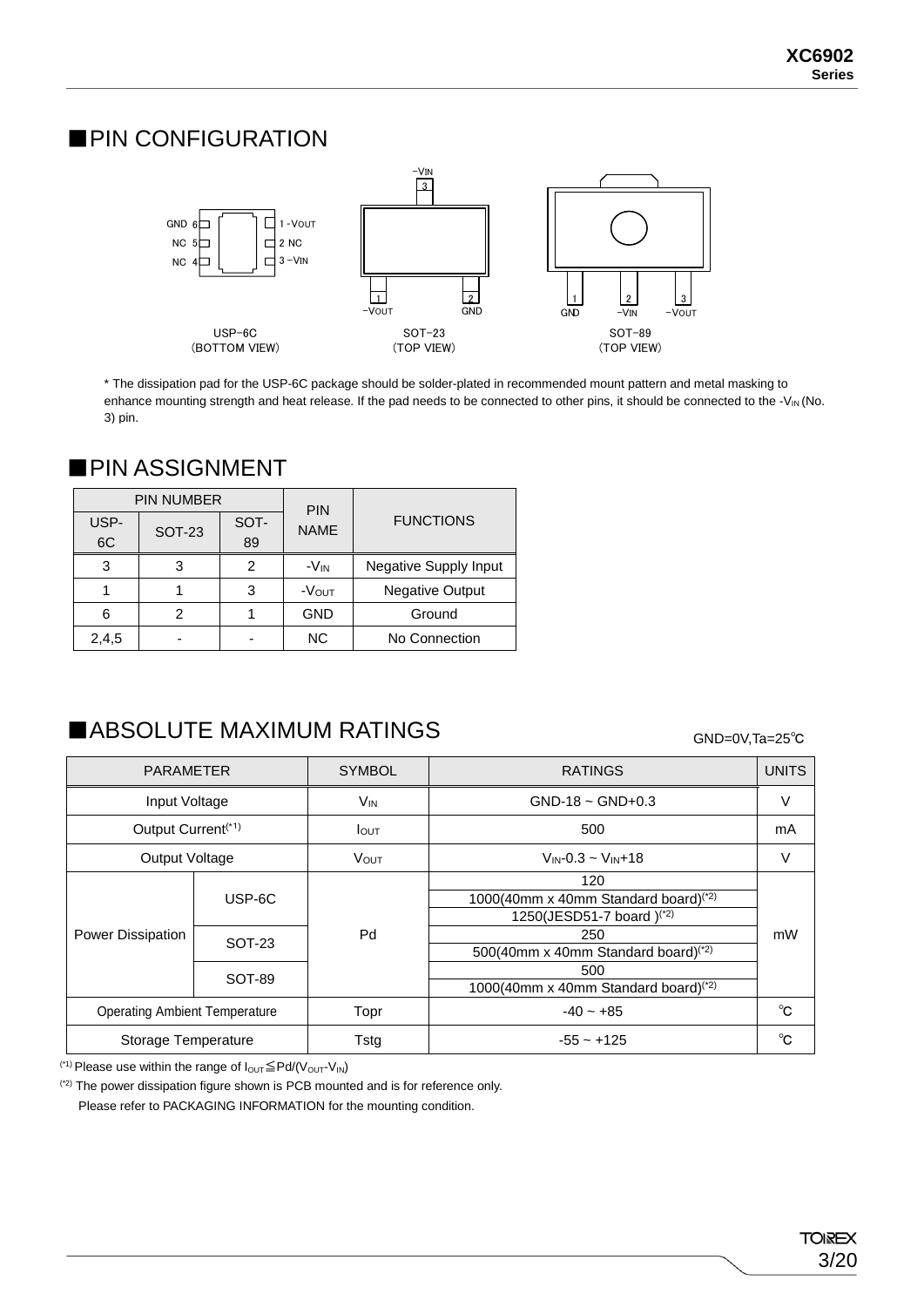## ■PIN CONFIGURATION



\* The dissipation pad for the USP-6C package should be solder-plated in recommended mount pattern and metal masking to enhance mounting strength and heat release. If the pad needs to be connected to other pins, it should be connected to the -V<sub>IN</sub> (No. 3) pin.

# ■ PIN ASSIGNMENT

|            | <b>PIN NUMBER</b> |            | <b>PIN</b>       |                        |
|------------|-------------------|------------|------------------|------------------------|
| USP-<br>6C | <b>SOT-23</b>     | SOT-<br>89 | <b>NAME</b>      | <b>FUNCTIONS</b>       |
| 3          | 3                 | 2          | -V <sub>IN</sub> | Negative Supply Input  |
|            |                   | 3          | -Vout            | <b>Negative Output</b> |
| 6          | 2                 |            | <b>GND</b>       | Ground                 |
| 2,4,5      |                   |            | ΝC               | No Connection          |

# ■ABSOLUTE MAXIMUM RATINGS

### GND=0V,Ta=25℃

| <b>PARAMETER</b>                             |                  | <b>SYMBOL</b>   | <b>RATINGS</b>                                                                                                                                            |        |
|----------------------------------------------|------------------|-----------------|-----------------------------------------------------------------------------------------------------------------------------------------------------------|--------|
| Input Voltage                                |                  | V <sub>IN</sub> | $GND-18 \sim GND+0.3$                                                                                                                                     | $\vee$ |
| Output Current <sup>(*1)</sup>               |                  | <b>I</b> OUT    | 500                                                                                                                                                       | mA     |
| <b>Output Voltage</b>                        |                  | <b>VOUT</b>     | $V_{IN} - 0.3 - V_{IN} + 18$                                                                                                                              | $\vee$ |
| Power Dissipation                            | USP-6C<br>SOT-23 | Pd              | 120<br>1000(40mm x 40mm Standard board) <sup>(*2)</sup><br>1250(JESD51-7 board) <sup>(*2)</sup><br>250<br>500(40mm x 40mm Standard board) <sup>(*2)</sup> | mW     |
|                                              | SOT-89           |                 | 500<br>1000(40mm x 40mm Standard board) <sup>(*2)</sup>                                                                                                   |        |
| <b>Operating Ambient Temperature</b><br>Topr |                  |                 | $-40 - +85$                                                                                                                                               | °C     |
| Storage Temperature                          |                  | Tstg            | $-55 - +125$                                                                                                                                              | °C     |

(\*1) Please use within the range of  $I_{\text{OUT}} \leq P d / (V_{\text{OUT}} \cdot V_{\text{IN}})$ 

(\*2) The power dissipation figure shown is PCB mounted and is for reference only. Please refer to PACKAGING INFORMATION for the mounting condition.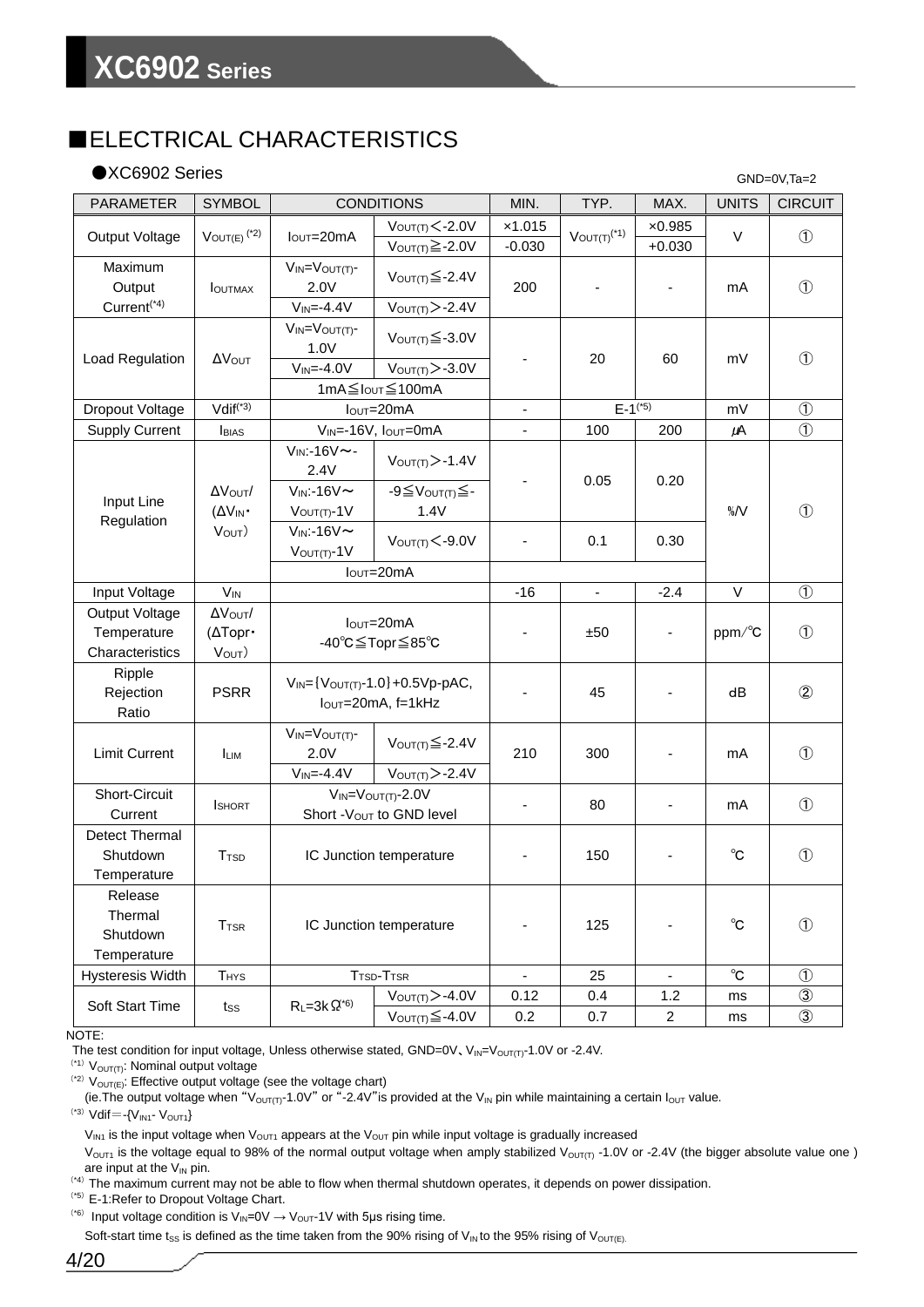# ■ELECTRICAL CHARACTERISTICS

### ●XC6902 Series

GND=0V,Ta=2

| <b>PARAMETER</b>                                 | <b>SYMBOL</b>                  |                                                               | <b>CONDITIONS</b>                                         | MIN.                     | TYP.                         | MAX.                       | <b>UNITS</b>      | <b>CIRCUIT</b> |
|--------------------------------------------------|--------------------------------|---------------------------------------------------------------|-----------------------------------------------------------|--------------------------|------------------------------|----------------------------|-------------------|----------------|
| Output Voltage                                   | $V_{OUT(E)}$ <sup>(*2)</sup>   | $IOUT=20mA$                                                   | $V_{\text{OUT(T)}}<-2.0V$<br>$V_{OUT(T)} \geq -2.0V$      | x1.015<br>$-0.030$       | $V_{OUT(T)}$ <sup>(*1)</sup> | $\times 0.985$<br>$+0.030$ | $\vee$            | $\circled{1}$  |
| Maximum<br>Output                                | <b>I</b> OUTMAX                | $V_{IN} = V_{OUT(T)}$ -<br>2.0V                               | $V_{OUT(T)} \leq -2.4V$                                   | 200                      |                              |                            | mA                | $\circled{1}$  |
| Current <sup>(*4)</sup>                          |                                | $V_{IN} = -4.4V$                                              | $V_{\text{OUT(T)}}$ > -2.4V                               |                          |                              |                            |                   |                |
| Load Regulation                                  | Δ<br>Vout                      | $V_{IN} = V_{OUT(T)}$ -<br>1.0V                               | $V_{\text{OUT(T)}} \leq -3.0V$                            |                          | 20                           | 60                         | mV                | $\circled{1}$  |
|                                                  |                                | $V_{IN} = -4.0V$                                              | $V_{\text{OUT(T)}}$ $>$ -3.0V                             |                          |                              |                            |                   |                |
|                                                  |                                |                                                               | 1mA≦IouT≦100mA                                            |                          |                              |                            |                   |                |
| Dropout Voltage                                  | $Vdiff(*3)$                    |                                                               | $IOUT=20mA$                                               |                          | $E-1^{(*)}$                  |                            | mV                | $\circled{1}$  |
| <b>Supply Current</b>                            | <b>BIAS</b>                    |                                                               | VIN=-16V, IOUT=0mA                                        | $\overline{\phantom{a}}$ | 100                          | 200                        | μA                | $\circled{1}$  |
|                                                  |                                | $V_{IN}$ :-16 $V \sim$ -<br>2.4V                              | $V_{\text{OUT(T)}}$ > -1.4V                               |                          | 0.05                         | 0.20                       |                   |                |
| Input Line                                       | ΔVουτ/<br>$(\Delta V_{IN}$     | $V_{IN}$ :-16 $V \sim$<br>$V_{\text{OUT}(T)}-1V$              | $-9 \leq V_{\text{OUT(T)}} \leq -$<br>1.4V                |                          |                              |                            | $\% / V$          | $\mathcal{F}$  |
| Regulation                                       | $V_{OUT}$                      | $V_{IN}$ :-16 $V \sim$<br>$V$ OUT(T)- $1V$                    | $V_{\text{OUT(T)}}<-9.0V$                                 |                          | 0.1                          | 0.30                       |                   |                |
|                                                  |                                |                                                               | $IOUT=20mA$                                               |                          |                              |                            |                   |                |
| Input Voltage                                    | $V_{IN}$                       |                                                               |                                                           | $-16$                    | $\blacksquare$               | $-2.4$                     | $\vee$            | $\circled{1}$  |
| Output Voltage<br>Temperature<br>Characteristics | AVOUT/<br>(ΔTopr·<br>$V_{OUT}$ | $IOUT=20mA$<br>-40°C≦Topr≦85°C                                |                                                           |                          | ±50                          |                            | ppm/°C            | $\circled{1}$  |
| Ripple<br>Rejection<br>Ratio                     | <b>PSRR</b>                    | $V_{IN} = \{V_{OUT(T)}-1.0\}+0.5Vp-pAC,$<br>lout=20mA, f=1kHz |                                                           |                          | 45                           |                            | dB                | $\circled{2}$  |
| <b>Limit Current</b>                             | <b>LIM</b>                     | $V_{IN} = V_{OUT(T)}$ -<br>2.0V<br>$V_{IN} = -4.4V$           | $V_{OUT(T)} \leq -2.4V$<br>$V$ OUT(T) $>$ -2.4V           | 210                      | 300                          |                            | mA                | $\circled{1}$  |
| <b>Short-Circuit</b><br>Current                  | <b>I</b> SHORT                 |                                                               | $V_{IN} = V_{OUT(T)} - 2.0V$<br>Short - Vout to GND level | $\overline{\phantom{a}}$ | 80                           |                            | mA                | $\circled{1}$  |
| <b>Detect Thermal</b><br>Shutdown<br>Temperature | <b>T</b> <sub>TSD</sub>        | IC Junction temperature                                       |                                                           |                          | 150                          |                            | $^{\circ}$ C      | $\circled{1}$  |
| Release<br>Thermal<br>Shutdown<br>Temperature    | <b>T</b> <sub>TSR</sub>        | IC Junction temperature                                       |                                                           |                          | 125                          |                            | $^{\circ}$ C      | $\circled{1}$  |
| <b>Hysteresis Width</b>                          | THYS                           |                                                               | T <sub>TSD</sub> -T <sub>TSR</sub>                        | $\blacksquare$           | 25                           |                            | $^\circ \text{C}$ | $\circled{1}$  |
|                                                  |                                |                                                               | $V_{\text{OUT(T)}}$ >-4.0V                                | 0.12                     | 0.4                          | 1.2                        | ms                | $\circled{3}$  |
| Soft Start Time<br>tss                           | $R_L = 3k \Omega^{(6)}$        | $V_{OUT(T)} \leq -4.0V$                                       | 0.2                                                       | 0.7                      | $\overline{\mathbf{c}}$      | ms                         | $\circled{3}$     |                |

NOTE:

The test condition for input voltage, Unless otherwise stated, GND=0V,  $V_{IN}=V_{OUT(T)}$ -1.0V or -2.4V.

 $(1)$   $V<sub>OUT(T)</sub>$ : Nominal output voltage

 $(2)$   $V_{\text{OUT}(E)}$ : Effective output voltage (see the voltage chart)

(ie. The output voltage when "V<sub>OUT(T)</sub>-1.0V" or "-2.4V" is provided at the V<sub>IN</sub> pin while maintaining a certain I<sub>OUT</sub> value.

 $(3)$  Vdif = -{V<sub>IN1</sub>- V<sub>OUT1</sub>}

 $V_{IN1}$  is the input voltage when  $V_{OUT1}$  appears at the  $V_{OUT}$  pin while input voltage is gradually increased

 $V<sub>OUT1</sub>$  is the voltage equal to 98% of the normal output voltage when amply stabilized  $V<sub>OUT(1)</sub>$  -1.0V or -2.4V (the bigger absolute value one ) are input at the  $V_{IN}$  pin.

(\*4)The maximum current may not be able to flow when thermal shutdown operates, it depends on power dissipation.

(\*5)E-1:Refer to Dropout Voltage Chart.

<sup>(\*6)</sup> Input voltage condition is  $V_{\text{IN}}=0V \rightarrow V_{\text{OUT}}-1V$  with 5µs rising time.

Soft-start time t<sub>SS</sub> is defined as the time taken from the 90% rising of V<sub>IN</sub> to the 95% rising of V<sub>OUT(E)</sub>.

4/20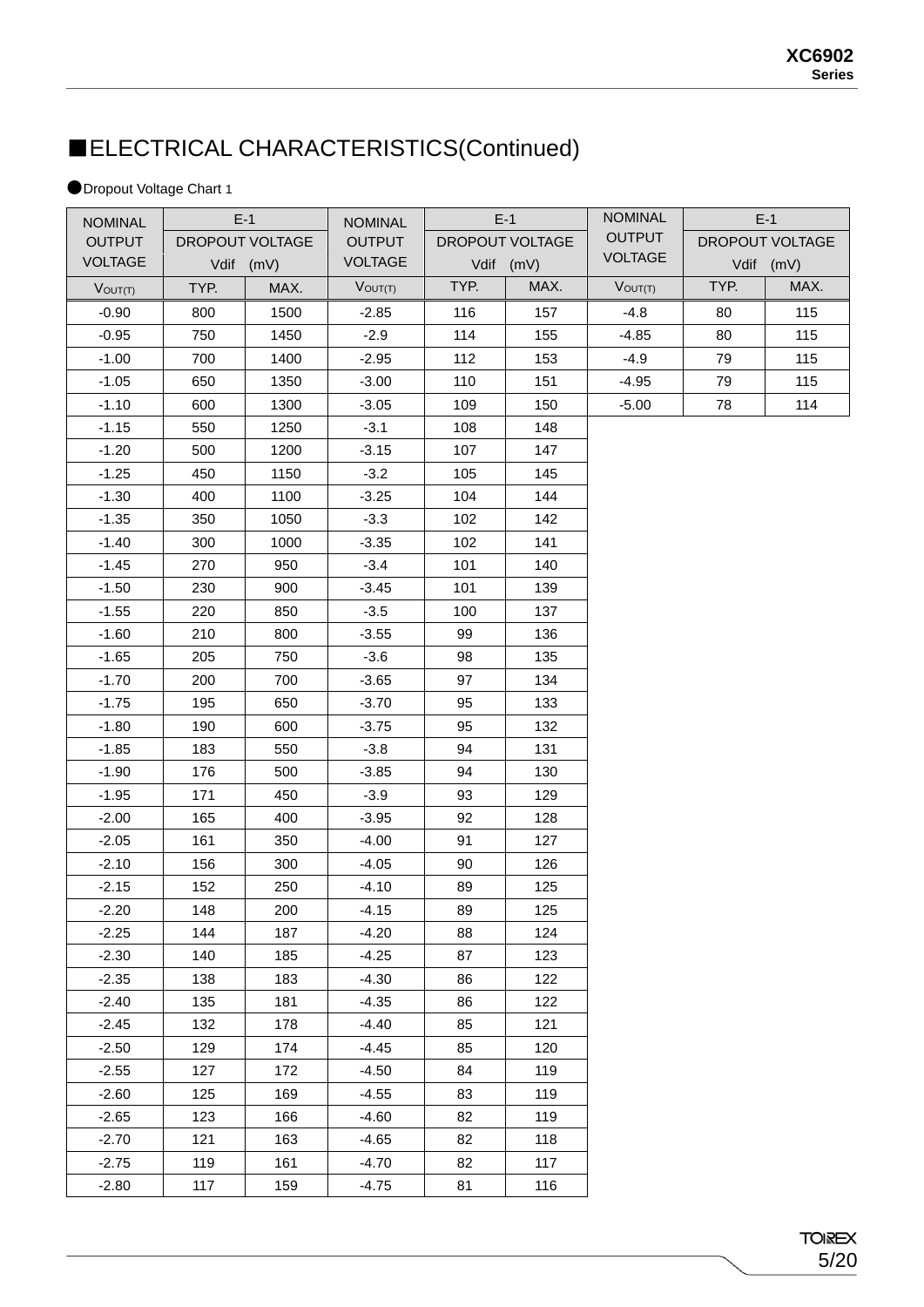# ■ELECTRICAL CHARACTERISTICS(Continued)

### ●Dropout Voltage Chart 1

| <b>NOMINAL</b> |      | $E-1$           | <b>NOMINAL</b> |      | $E-1$           | <b>NOMINAL</b> |      | $E-1$           |
|----------------|------|-----------------|----------------|------|-----------------|----------------|------|-----------------|
| <b>OUTPUT</b>  |      | DROPOUT VOLTAGE | <b>OUTPUT</b>  |      | DROPOUT VOLTAGE | <b>OUTPUT</b>  |      | DROPOUT VOLTAGE |
| <b>VOLTAGE</b> |      | Vdif (mV)       | <b>VOLTAGE</b> |      | Vdif (mV)       | <b>VOLTAGE</b> |      | Vdif (mV)       |
| $V$ OUT $(T)$  | TYP. | MAX.            | $V_{OUT(T)}$   | TYP. | MAX.            | $V_{OUT(T)}$   | TYP. | MAX.            |
| $-0.90$        | 800  | 1500            | $-2.85$        | 116  | 157             | $-4.8$         | 80   | 115             |
| $-0.95$        | 750  | 1450            | $-2.9$         | 114  | 155             | $-4.85$        | 80   | 115             |
| $-1.00$        | 700  | 1400            | $-2.95$        | 112  | 153             | $-4.9$         | 79   | 115             |
| $-1.05$        | 650  | 1350            | $-3.00$        | 110  | 151             | $-4.95$        | 79   | 115             |
| $-1.10$        | 600  | 1300            | $-3.05$        | 109  | 150             | $-5.00$        | 78   | 114             |
| $-1.15$        | 550  | 1250            | $-3.1$         | 108  | 148             |                |      |                 |
| $-1.20$        | 500  | 1200            | $-3.15$        | 107  | 147             |                |      |                 |
| $-1.25$        | 450  | 1150            | $-3.2$         | 105  | 145             |                |      |                 |
| $-1.30$        | 400  | 1100            | $-3.25$        | 104  | 144             |                |      |                 |
| $-1.35$        | 350  | 1050            | $-3.3$         | 102  | 142             |                |      |                 |
| $-1.40$        | 300  | 1000            | $-3.35$        | 102  | 141             |                |      |                 |
| $-1.45$        | 270  | 950             | $-3.4$         | 101  | 140             |                |      |                 |
| $-1.50$        | 230  | 900             | $-3.45$        | 101  | 139             |                |      |                 |
| $-1.55$        | 220  | 850             | $-3.5$         | 100  | 137             |                |      |                 |
| $-1.60$        | 210  | 800             | $-3.55$        | 99   | 136             |                |      |                 |
| $-1.65$        | 205  | 750             | $-3.6$         | 98   | 135             |                |      |                 |
| $-1.70$        | 200  | 700             | $-3.65$        | 97   | 134             |                |      |                 |
| $-1.75$        | 195  | 650             | $-3.70$        | 95   | 133             |                |      |                 |
| $-1.80$        | 190  | 600             | $-3.75$        | 95   | 132             |                |      |                 |
| $-1.85$        | 183  | 550             | $-3.8$         | 94   | 131             |                |      |                 |
| $-1.90$        | 176  | 500             | $-3.85$        | 94   | 130             |                |      |                 |
| $-1.95$        | 171  | 450             | $-3.9$         | 93   | 129             |                |      |                 |
| $-2.00$        | 165  | 400             | $-3.95$        | 92   | 128             |                |      |                 |
| $-2.05$        | 161  | 350             | $-4.00$        | 91   | 127             |                |      |                 |
| $-2.10$        | 156  | 300             | $-4.05$        | 90   | 126             |                |      |                 |
| $-2.15$        | 152  | 250             | $-4.10$        | 89   | 125             |                |      |                 |
| $-2.20$        | 148  | 200             | $-4.15$        | 89   | 125             |                |      |                 |
| $-2.25$        | 144  | 187             | $-4.20$        | 88   | 124             |                |      |                 |
| $-2.30$        | 140  | 185             | $-4.25$        | 87   | 123             |                |      |                 |
| $-2.35$        | 138  | 183             | $-4.30$        | 86   | 122             |                |      |                 |
| $-2.40$        | 135  | 181             | $-4.35$        | 86   | 122             |                |      |                 |
| $-2.45$        | 132  | 178             | $-4.40$        | 85   | 121             |                |      |                 |
| $-2.50$        | 129  | 174             | $-4.45$        | 85   | 120             |                |      |                 |
| $-2.55$        | 127  | 172             | $-4.50$        | 84   | 119             |                |      |                 |
| $-2.60$        | 125  | 169             | $-4.55$        | 83   | 119             |                |      |                 |
| $-2.65$        | 123  | 166             | $-4.60$        | 82   | 119             |                |      |                 |
| $-2.70$        | 121  | 163             | $-4.65$        | 82   | 118             |                |      |                 |
| $-2.75$        | 119  | 161             | $-4.70$        | 82   | 117             |                |      |                 |
| $-2.80$        | 117  | 159             | $-4.75$        | 81   | 116             |                |      |                 |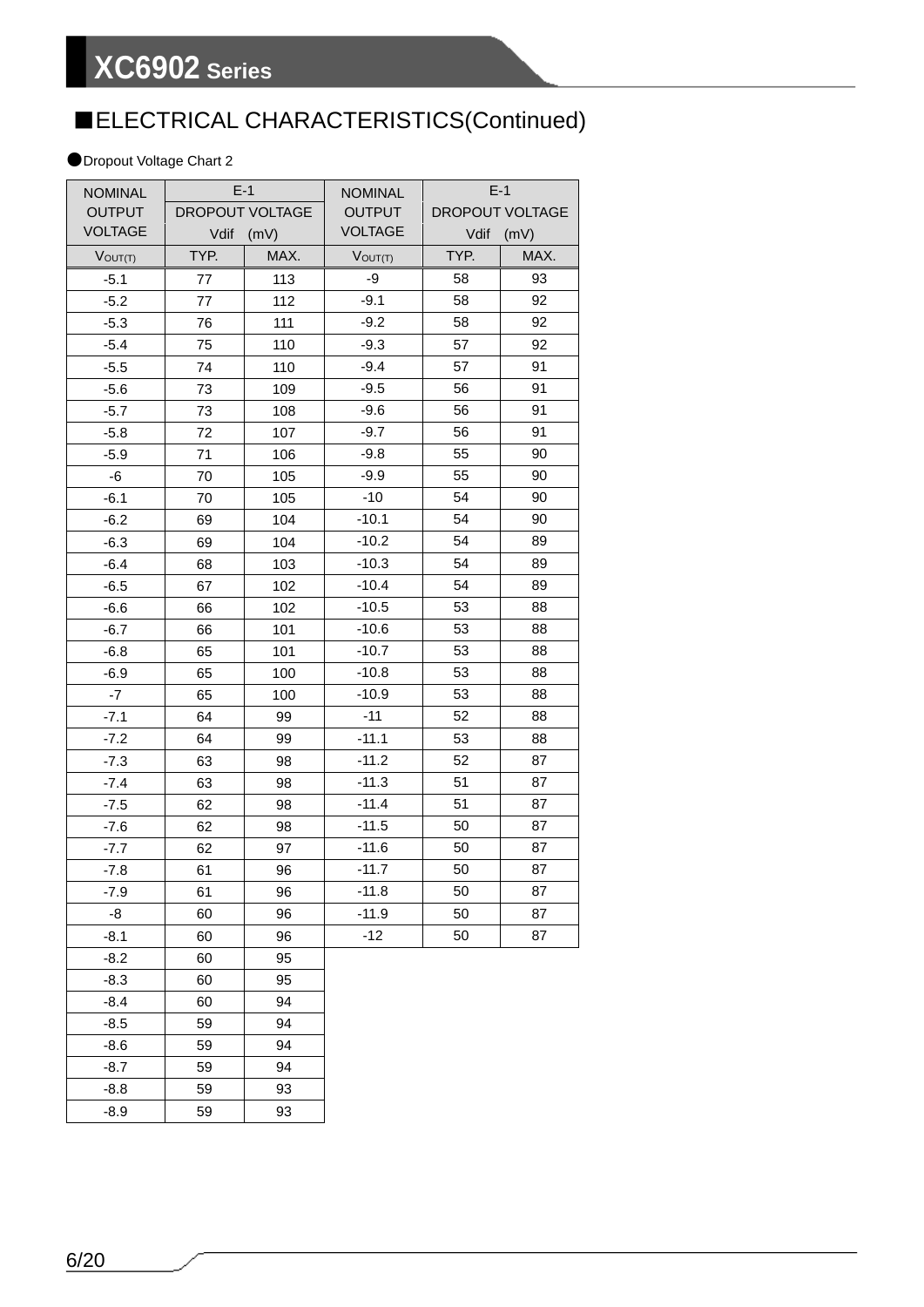# ■ELECTRICAL CHARACTERISTICS(Continued)

### ●Dropout Voltage Chart 2

| <b>NOMINAL</b> |                        | $E-1$ | <b>NOMINAL</b> |      | $E-1$           |
|----------------|------------------------|-------|----------------|------|-----------------|
| <b>OUTPUT</b>  | <b>DROPOUT VOLTAGE</b> |       | <b>OUTPUT</b>  |      | DROPOUT VOLTAGE |
| <b>VOLTAGE</b> | Vdif<br>(mV)           |       | <b>VOLTAGE</b> | Vdif | (mV)            |
| $V$ OUT $(T)$  | TYP.                   | MAX.  | $V$ OUT $(T)$  | TYP. | MAX.            |
| $-5.1$         | 77                     | 113   | -9             | 58   | 93              |
| $-5.2$         | 77                     | 112   | $-9.1$         | 58   | 92              |
| $-5.3$         | 76                     | 111   | $-9.2$         | 58   | 92              |
| $-5.4$         | 75                     | 110   | $-9.3$         | 57   | 92              |
| $-5.5$         | 74                     | 110   | $-9.4$         | 57   | 91              |
| $-5.6$         | 73                     | 109   | $-9.5$         | 56   | 91              |
| $-5.7$         | 73                     | 108   | $-9.6$         | 56   | 91              |
| $-5.8$         | 72                     | 107   | $-9.7$         | 56   | 91              |
| $-5.9$         | 71                     | 106   | $-9.8$         | 55   | 90              |
| -6             | 70                     | 105   | $-9.9$         | 55   | 90              |
| $-6.1$         | 70                     | 105   | $-10$          | 54   | 90              |
| $-6.2$         | 69                     | 104   | $-10.1$        | 54   | 90              |
| $-6.3$         | 69                     | 104   | $-10.2$        | 54   | 89              |
| $-6.4$         | 68                     | 103   | $-10.3$        | 54   | 89              |
| $-6.5$         | 67                     | 102   | $-10.4$        | 54   | 89              |
| $-6.6$         | 66                     | 102   | $-10.5$        | 53   | 88              |
| $-6.7$         | 66                     | 101   | $-10.6$        | 53   | 88              |
| $-6.8$         | 65                     | 101   | $-10.7$        | 53   | 88              |
| $-6.9$         | 65                     | 100   | $-10.8$        | 53   | 88              |
| $-7$           | 65                     | 100   | $-10.9$        | 53   | 88              |
| $-7.1$         | 64                     | 99    | $-11$          | 52   | 88              |
| $-7.2$         | 64                     | 99    | $-11.1$        | 53   | 88              |
| $-7.3$         | 63                     | 98    | $-11.2$        | 52   | 87              |
| $-7.4$         | 63                     | 98    | $-11.3$        | 51   | 87              |
| $-7.5$         | 62                     | 98    | $-11.4$        | 51   | 87              |
| $-7.6$         | 62                     | 98    | $-11.5$        | 50   | 87              |
| $-7.7$         | 62                     | 97    | $-11.6$        | 50   | 87              |
| $-7.8$         | 61                     | 96    | $-11.7$        | 50   | 87              |
| $-7.9$         | 61                     | 96    | $-11.8$        | 50   | 87              |
| -8             | 60                     | 96    | $-11.9$        | 50   | 87              |
| $-8.1$         | 60                     | 96    | $-12$          | 50   | 87              |
| $-8.2$         | 60                     | 95    |                |      |                 |
| $-8.3$         | 60                     | 95    |                |      |                 |
| $-8.4$         | 60                     | 94    |                |      |                 |
| $-8.5$         | 59                     | 94    |                |      |                 |
| $-8.6$         | 59                     | 94    |                |      |                 |
| $-8.7$         | 59                     | 94    |                |      |                 |
| $-8.8$         | 59                     | 93    |                |      |                 |

-8.9 59 93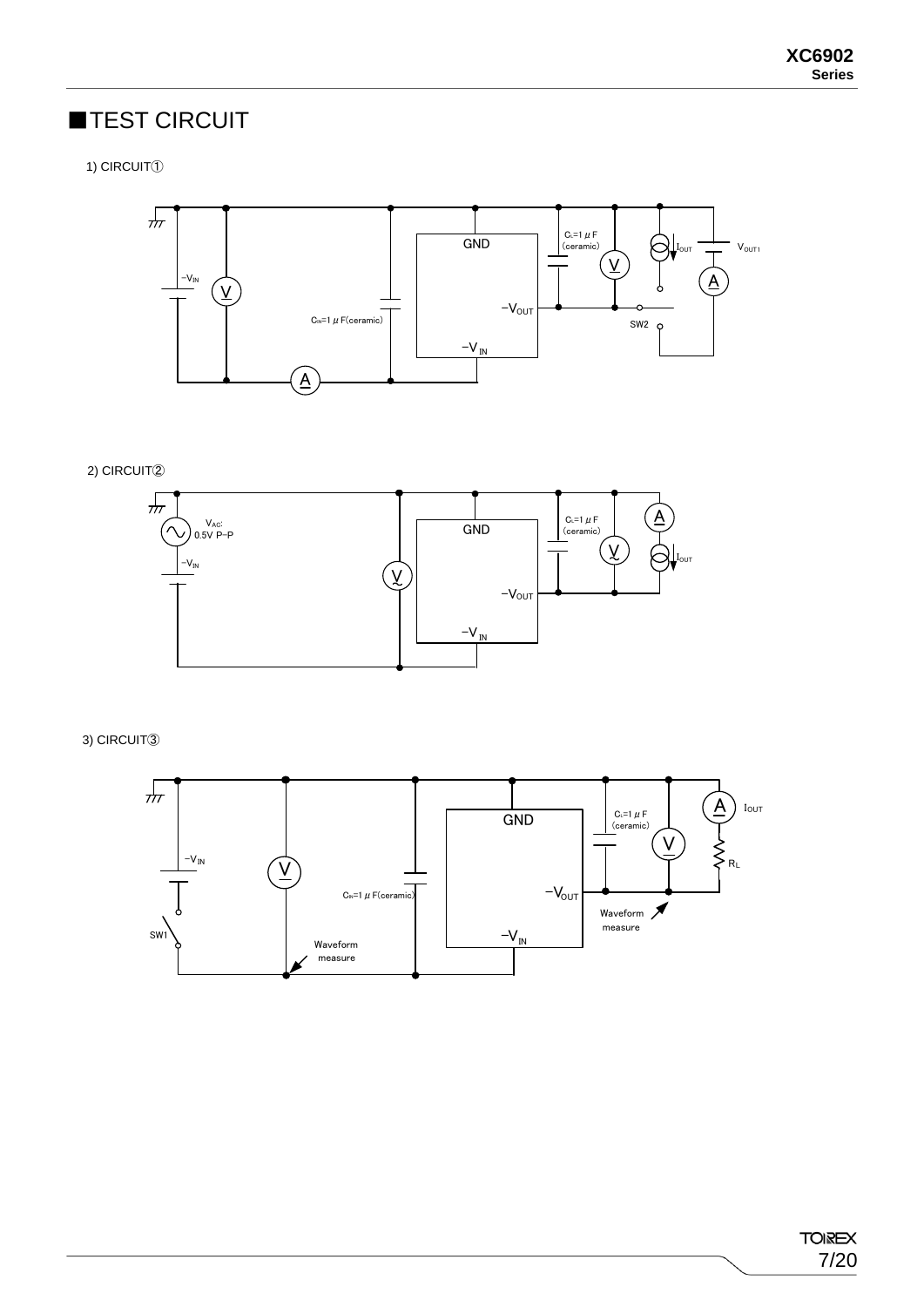# ■TEST CIRCUIT

1) CIRCUIT①



2) CIRCUIT②



3) CIRCUIT③

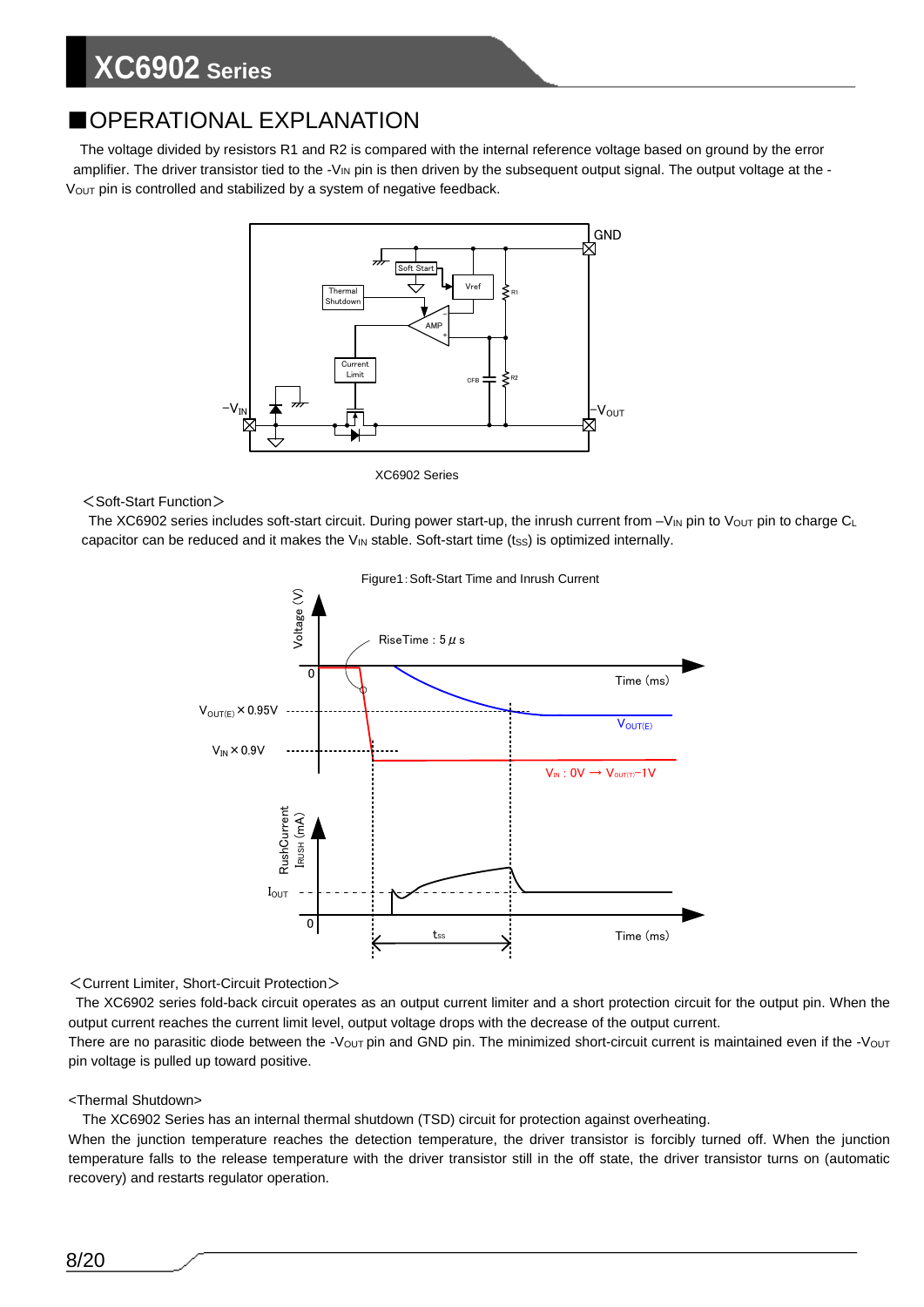## ■OPERATIONAL EXPLANATION

The voltage divided by resistors R1 and R2 is compared with the internal reference voltage based on ground by the error amplifier. The driver transistor tied to the  $-V_{\text{IN}}$  pin is then driven by the subsequent output signal. The output voltage at the -Vout pin is controlled and stabilized by a system of negative feedback.



XC6902 Series

<Soft-Start Function>

The XC6902 series includes soft-start circuit. During power start-up, the inrush current from  $-V_{\text{IN}}$  pin to Vout pin to charge CL capacitor can be reduced and it makes the  $V_{\text{IN}}$  stable. Soft-start time (tss) is optimized internally.



<Current Limiter, Short-Circuit Protection>

The XC6902 series fold-back circuit operates as an output current limiter and a short protection circuit for the output pin. When the output current reaches the current limit level, output voltage drops with the decrease of the output current. There are no parasitic diode between the -V<sub>OUT</sub> pin and GND pin. The minimized short-circuit current is maintained even if the -V<sub>OUT</sub> pin voltage is pulled up toward positive.

### <Thermal Shutdown>

The XC6902 Series has an internal thermal shutdown (TSD) circuit for protection against overheating.

When the junction temperature reaches the detection temperature, the driver transistor is forcibly turned off. When the junction temperature falls to the release temperature with the driver transistor still in the off state, the driver transistor turns on (automatic recovery) and restarts regulator operation.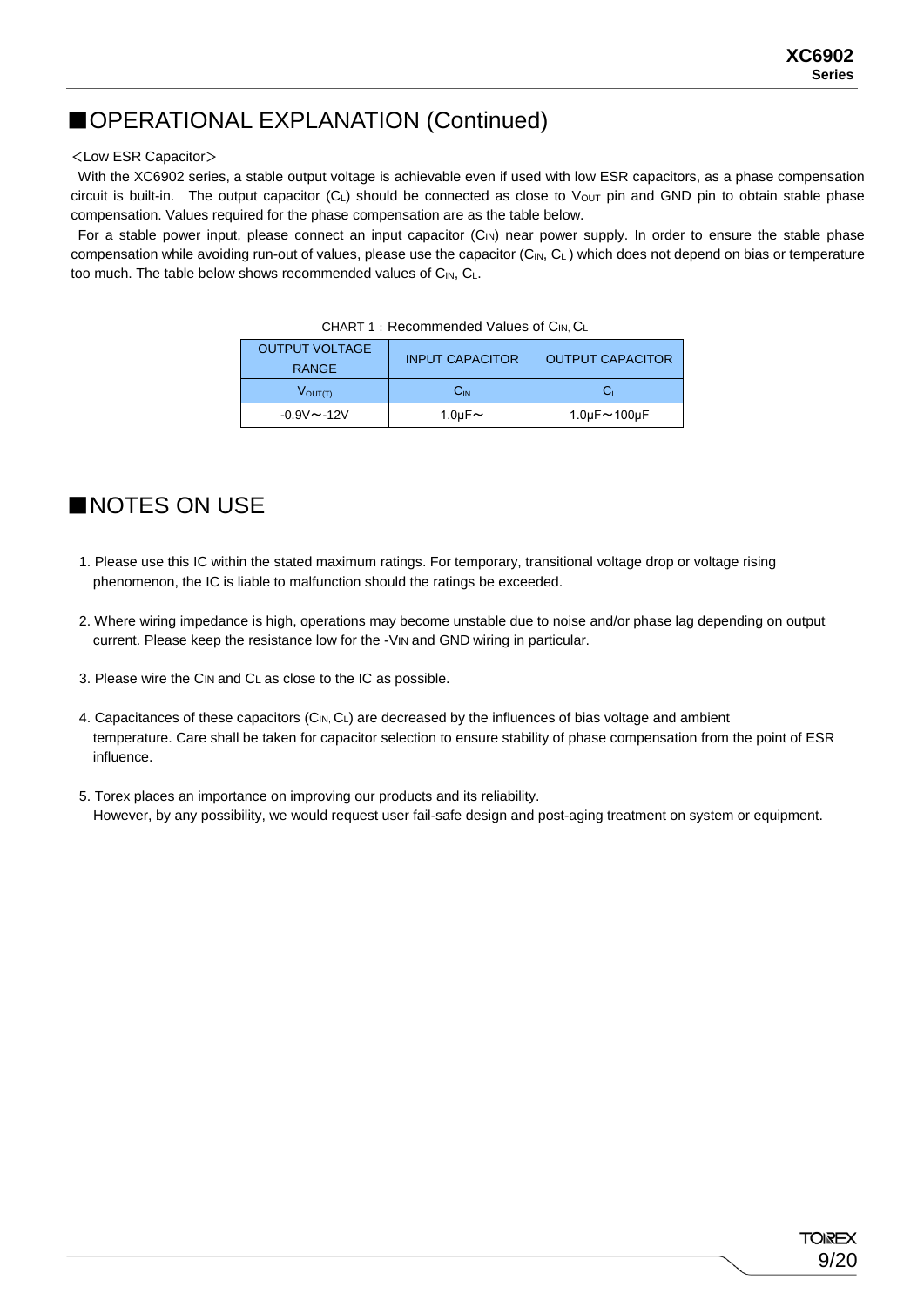# ■OPERATIONAL EXPLANATION (Continued)

### <Low ESR Capacitor>

With the XC6902 series, a stable output voltage is achievable even if used with low ESR capacitors, as a phase compensation circuit is built-in. The output capacitor  $(C_L)$  should be connected as close to Vout pin and GND pin to obtain stable phase compensation. Values required for the phase compensation are as the table below.

For a stable power input, please connect an input capacitor  $(C_{\text{IN}})$  near power supply. In order to ensure the stable phase compensation while avoiding run-out of values, please use the capacitor ( $C_{N}$ ,  $C_{L}$ ) which does not depend on bias or temperature too much. The table below shows recommended values of CIN, CL.

| <b>OUTPUT VOLTAGE</b><br><b>RANGE</b> | <b>INPUT CAPACITOR</b> | <b>OUTPUT CAPACITOR</b> |
|---------------------------------------|------------------------|-------------------------|
| $V_{\text{OUT(T)}}$                   | Сin                    |                         |
| $-0.9V - 12V$                         | 1.0 $\mu$ F $\sim$     | 1.0µ $F \sim$ 100µ $F$  |

| CHART 1: Recommended Values of CIN, CL |
|----------------------------------------|
|----------------------------------------|

# ■NOTES ON USE

- 1. Please use this IC within the stated maximum ratings. For temporary, transitional voltage drop or voltage rising phenomenon, the IC is liable to malfunction should the ratings be exceeded.
- 2. Where wiring impedance is high, operations may become unstable due to noise and/or phase lag depending on output current. Please keep the resistance low for the -VIN and GND wiring in particular.
- 3. Please wire the CIN and CL as close to the IC as possible.
- 4. Capacitances of these capacitors (C<sub>IN, CL</sub>) are decreased by the influences of bias voltage and ambient temperature. Care shall be taken for capacitor selection to ensure stability of phase compensation from the point of ESR influence.
- 5. Torex places an importance on improving our products and its reliability. However, by any possibility, we would request user fail-safe design and post-aging treatment on system or equipment.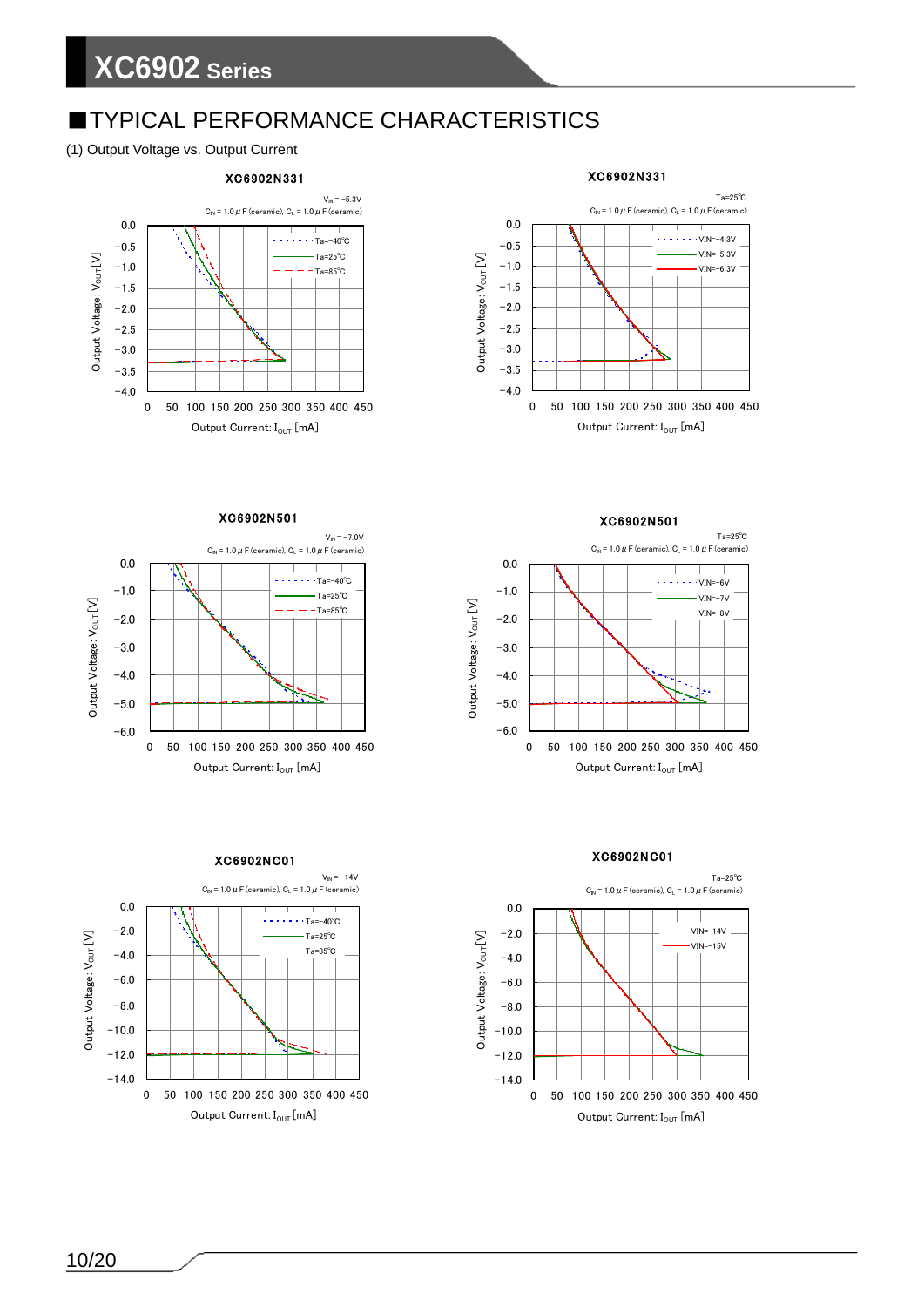# **■TYPICAL PERFORMANCE CHARACTERISTICS**

### (1) Output Voltage vs. Output Current



#### XC6902N331 Ta=25℃  $C_{IN} = 1.0 \, \mu$  F (ceramic),  $C_1 = 1.0 \, \mu$  F (ceramic) 0.0  $- - -$  VIN=-4.3V  $-0.5$ VIN=-5.3V Output Voltage: Vour [V] Output  $\sf{V}$ oltage:  $\sf{V}_{\sf{OUT}}$   $\sf [V]$  $-1.0$  $VIN=-6.3V$  $-1.5$  $-2.0$  $-2.5$  $-3.0$  $-3.5$  $-4.0$ 0 50 100 150 200 250 300 350 400 450 Output Current:  $I_{OUT}$  [mA]

### XC6902N501







XC6902NC01

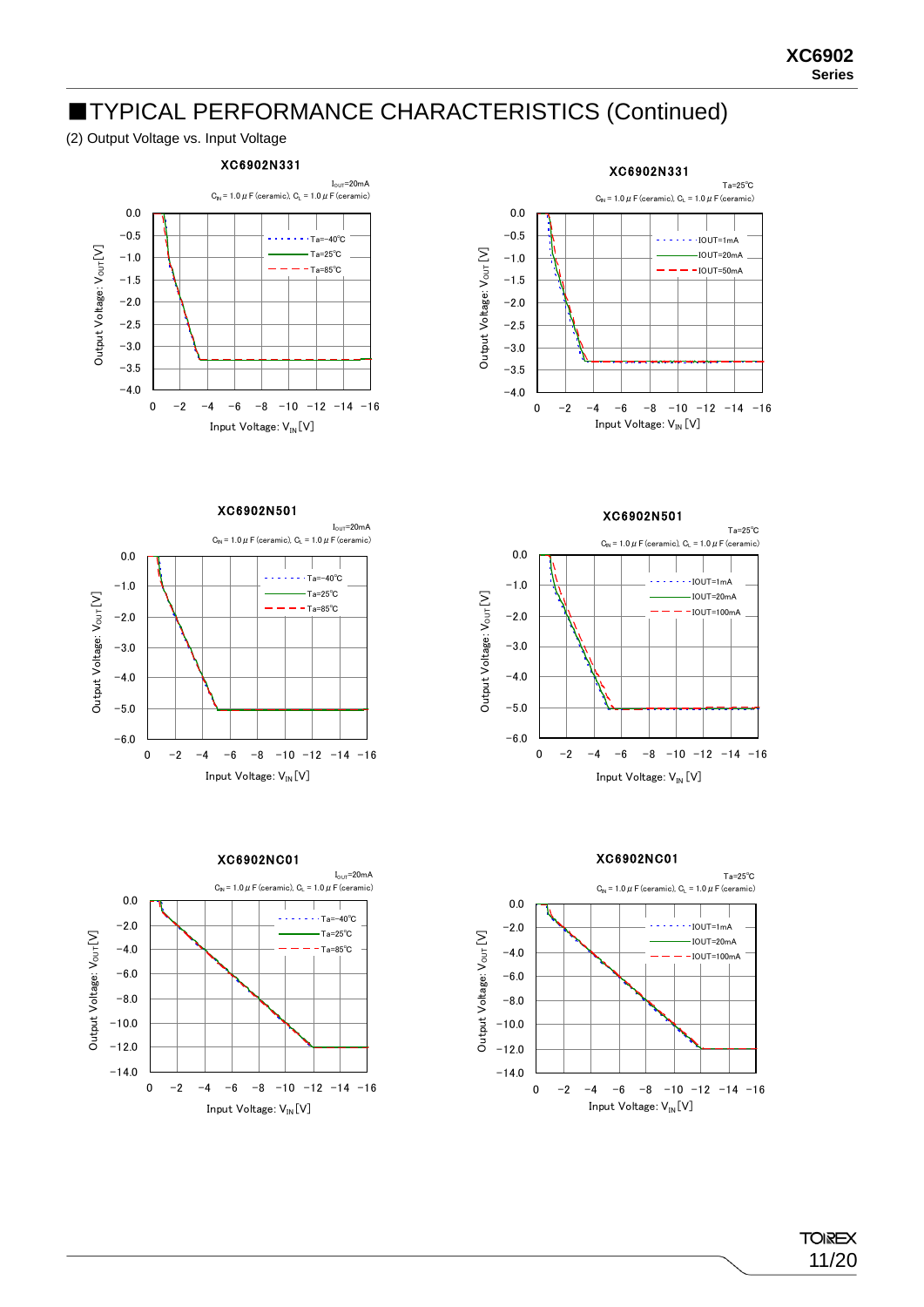## ■TYPICAL PERFORMANCE CHARACTERISTICS (Continued)

### (2) Output Voltage vs. Input Voltage





#### XC6902N501









 $\mathsf{Output}$  Voltage:  $\mathsf{V}_{\mathsf{OUT}}[\mathsf{V}]$ 

Output Voltage: Vour [V]

0  $-2$   $-4$   $-6$   $-8$   $-10$   $-12$   $-14$   $-16$ Input Voltage: V<sub>IN</sub> [V]

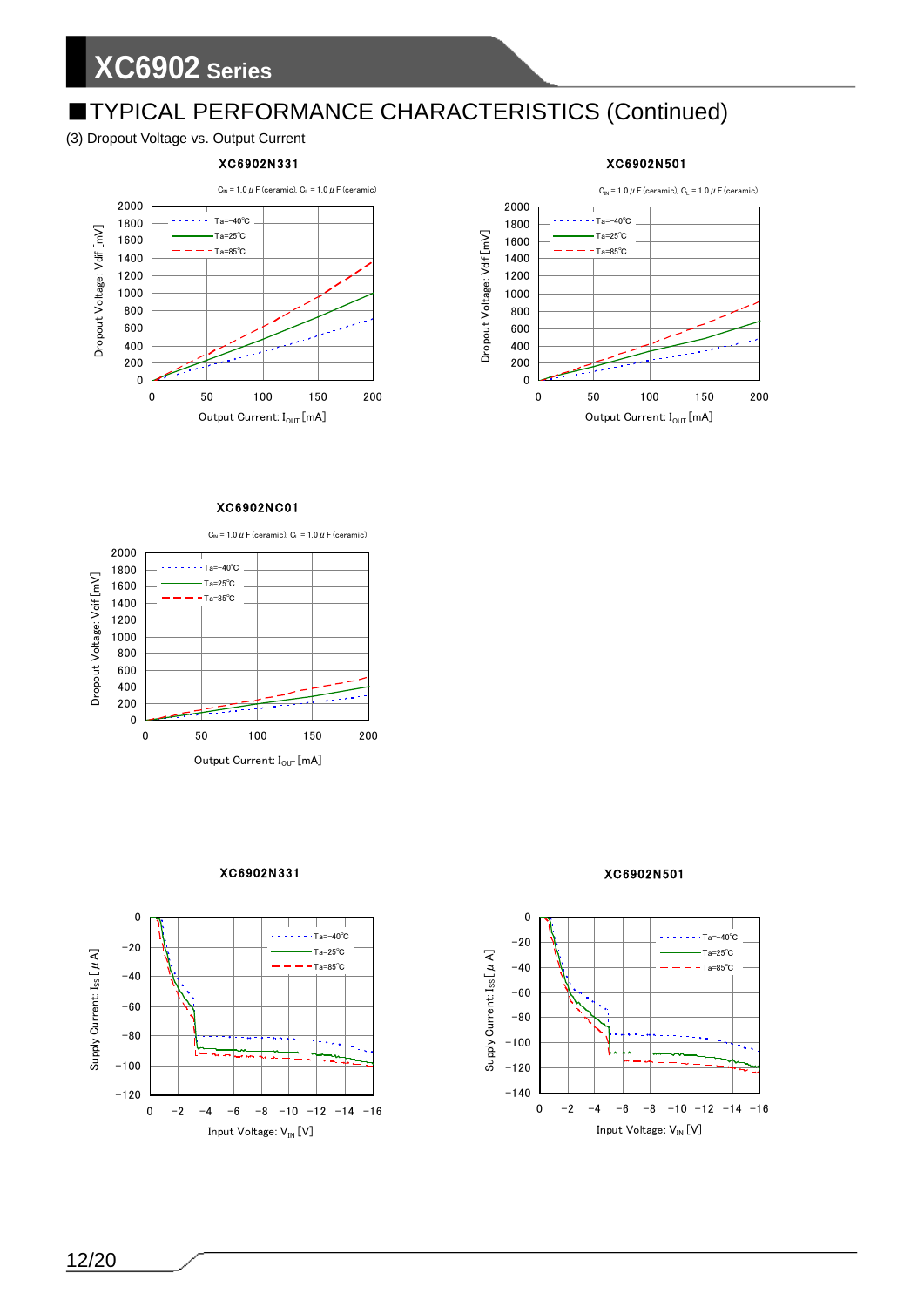# ■TYPICAL PERFORMANCE CHARACTERISTICS (Continued)

### (3) Dropout Voltage vs. Output Current

### XC6902N331





#### XC6902NC01

 $C_{\text{IN}}$  = 1.0  $\mu$  F (ceramic),  $C_{\text{L}}$  = 1.0  $\mu$  F (ceramic) 2000 1800 Ta=-40℃ Dropout Voltage: Vdif [mV] Dropout Voltage: Vdif [mV] Ta=25℃ 1600 Ta=85℃ 1400 1200 1000 800 600 400 200 0 0 50 100 150 200 Output Current:  $I_{\text{OUT}}[\text{mA}]$ 

XC6902N331



### XC6902N501



### XC6902N501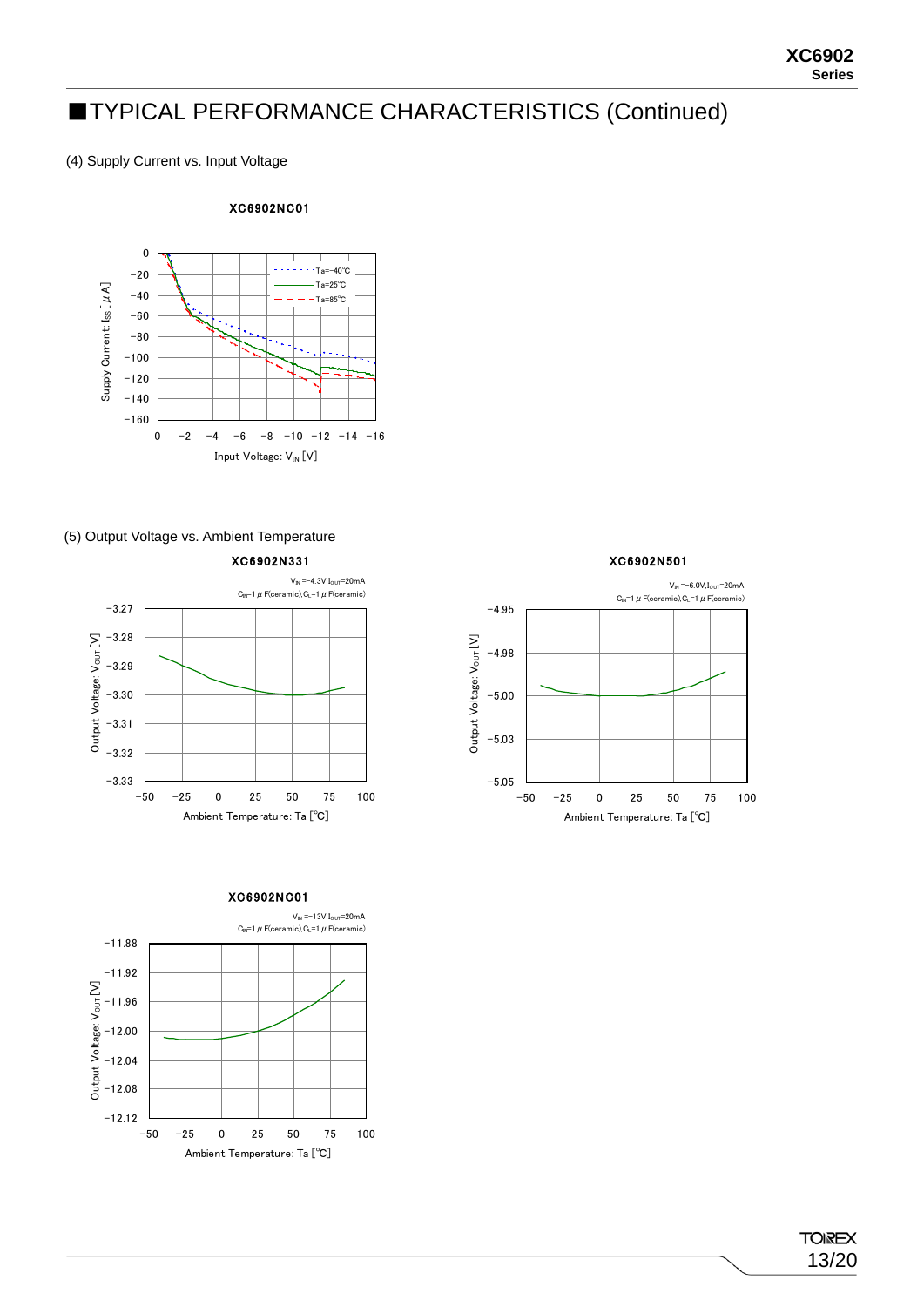# ■TYPICAL PERFORMANCE CHARACTERISTICS (Continued)

(4) Supply Current vs. Input Voltage

### XC6902NC01



### (5) Output Voltage vs. Ambient Temperature

XC6902N331







**TOIREX** 13/20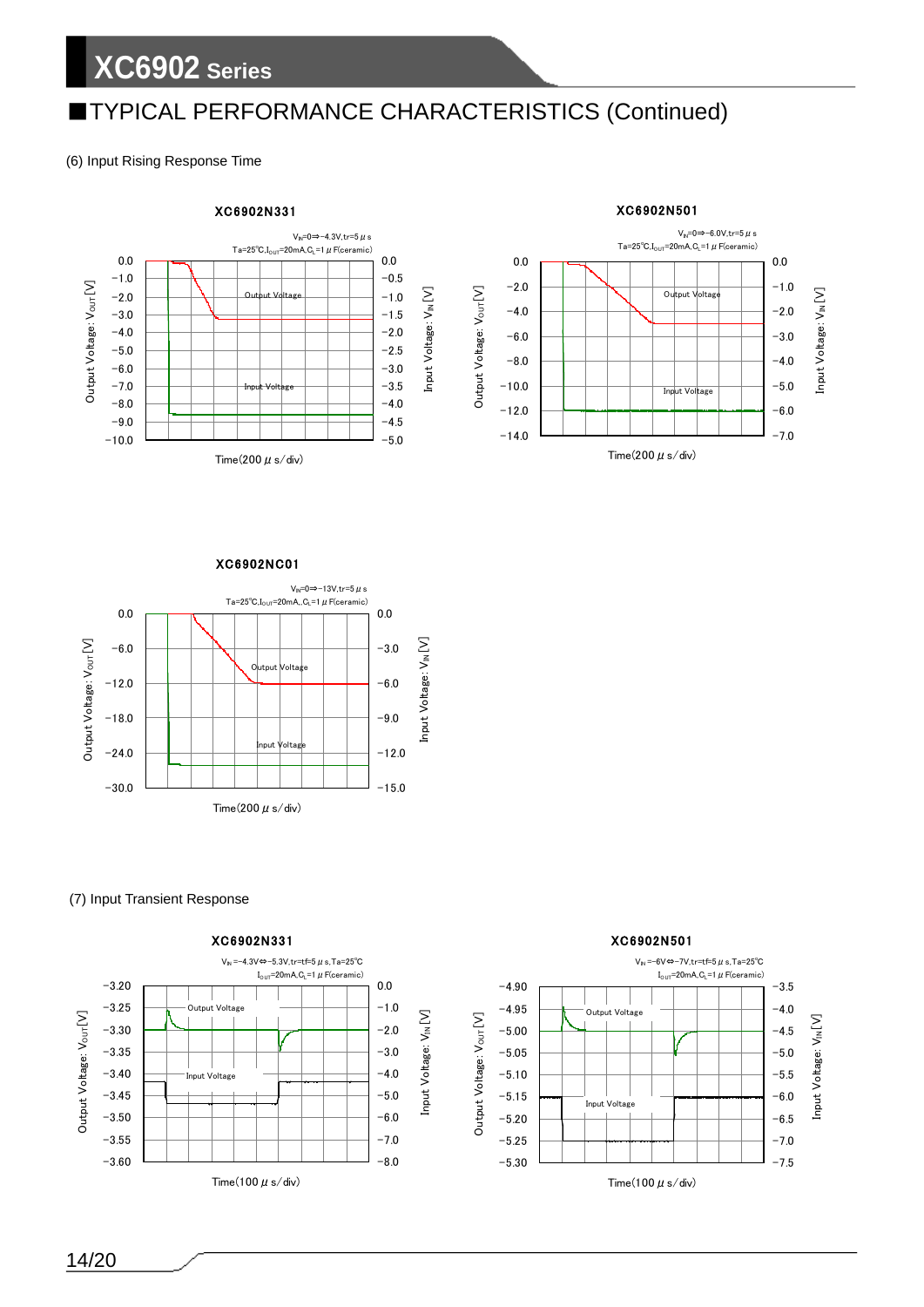# ■TYPICAL PERFORMANCE CHARACTERISTICS (Continued)

(6) Input Rising Response Time



XC6902NC01



(7) Input Transient Response







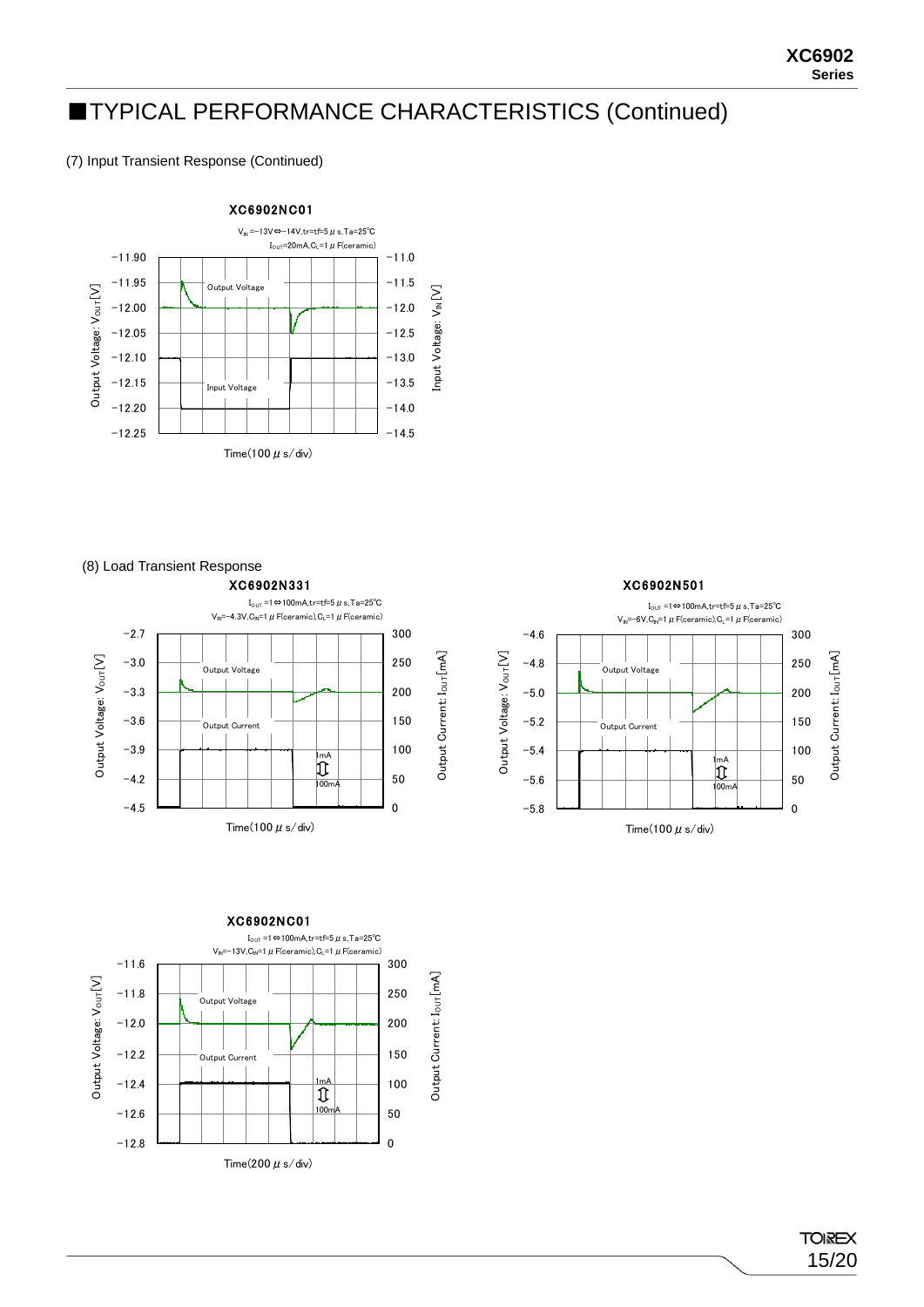# ■TYPICAL PERFORMANCE CHARACTERISTICS (Continued)

(7) Input Transient Response (Continued)



### (8) Load Transient Response







Time(100  $\mu$  s/div)

### **TOIREX** 15/20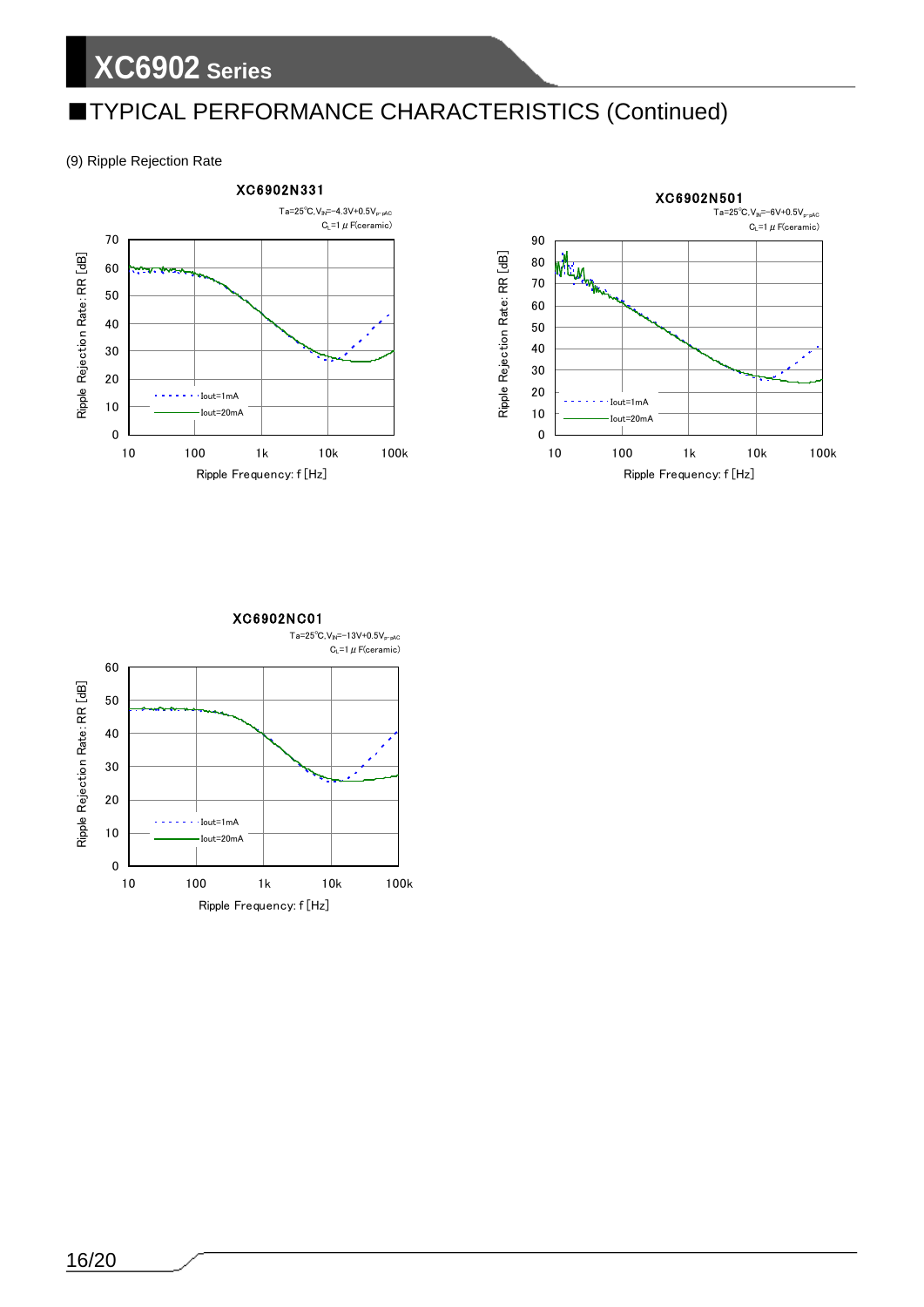# ■TYPICAL PERFORMANCE CHARACTERISTICS (Continued)

(9) Ripple Rejection Rate



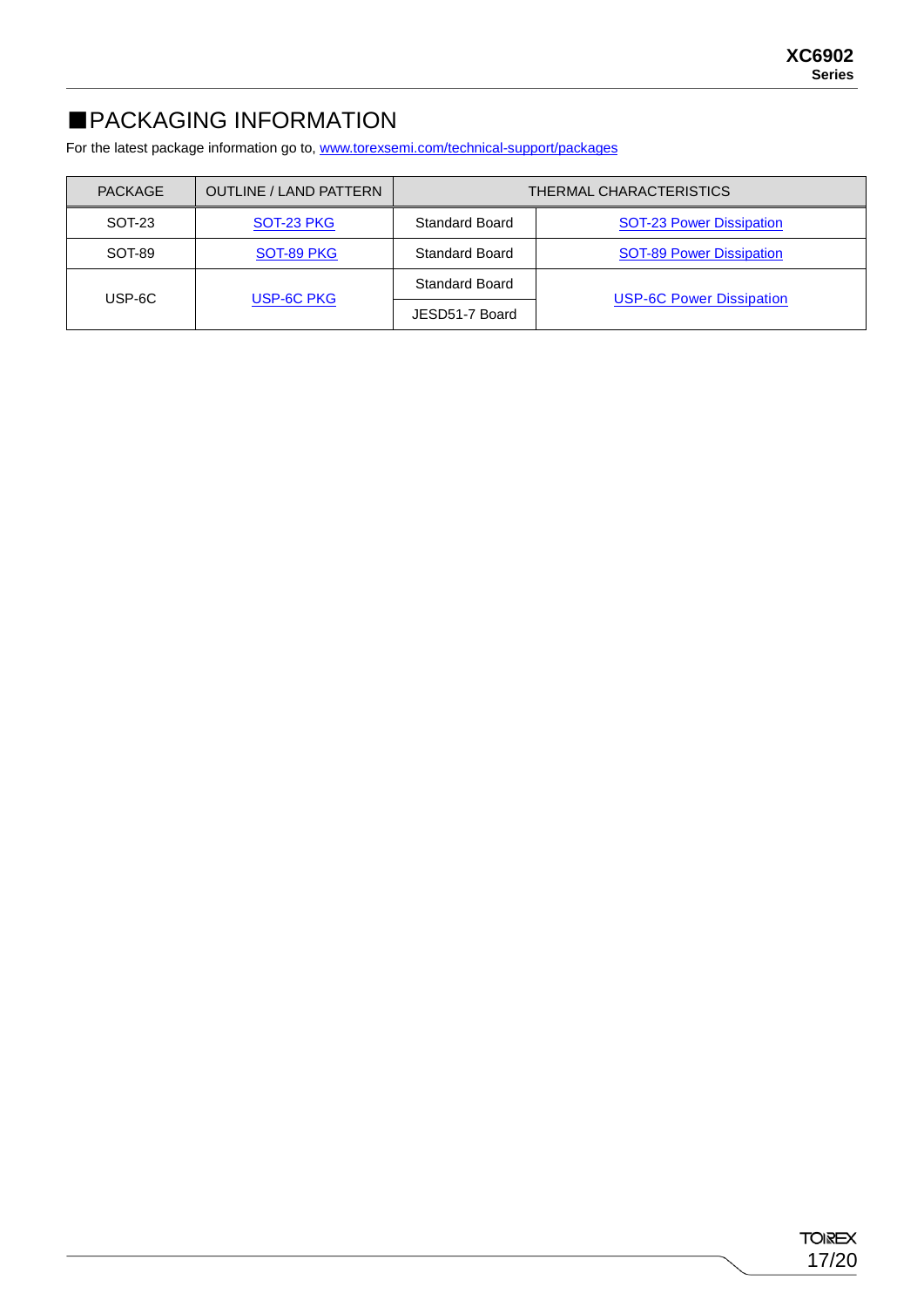# ■PACKAGING INFORMATION

For the latest package information go to, [www.torexsemi.com/technical-support/packages](https://www.torexsemi.com/technical-support/packages/)

| <b>PACKAGE</b>       | <b>OUTLINE / LAND PATTERN</b> |                       | THERMAL CHARACTERISTICS         |
|----------------------|-------------------------------|-----------------------|---------------------------------|
| SOT-23               | SOT-23 PKG                    | <b>Standard Board</b> | <b>SOT-23 Power Dissipation</b> |
| SOT-89               | SOT-89 PKG                    | <b>Standard Board</b> | <b>SOT-89 Power Dissipation</b> |
|                      |                               | Standard Board        | <b>USP-6C Power Dissipation</b> |
| USP-6C PKG<br>USP-6C |                               | JESD51-7 Board        |                                 |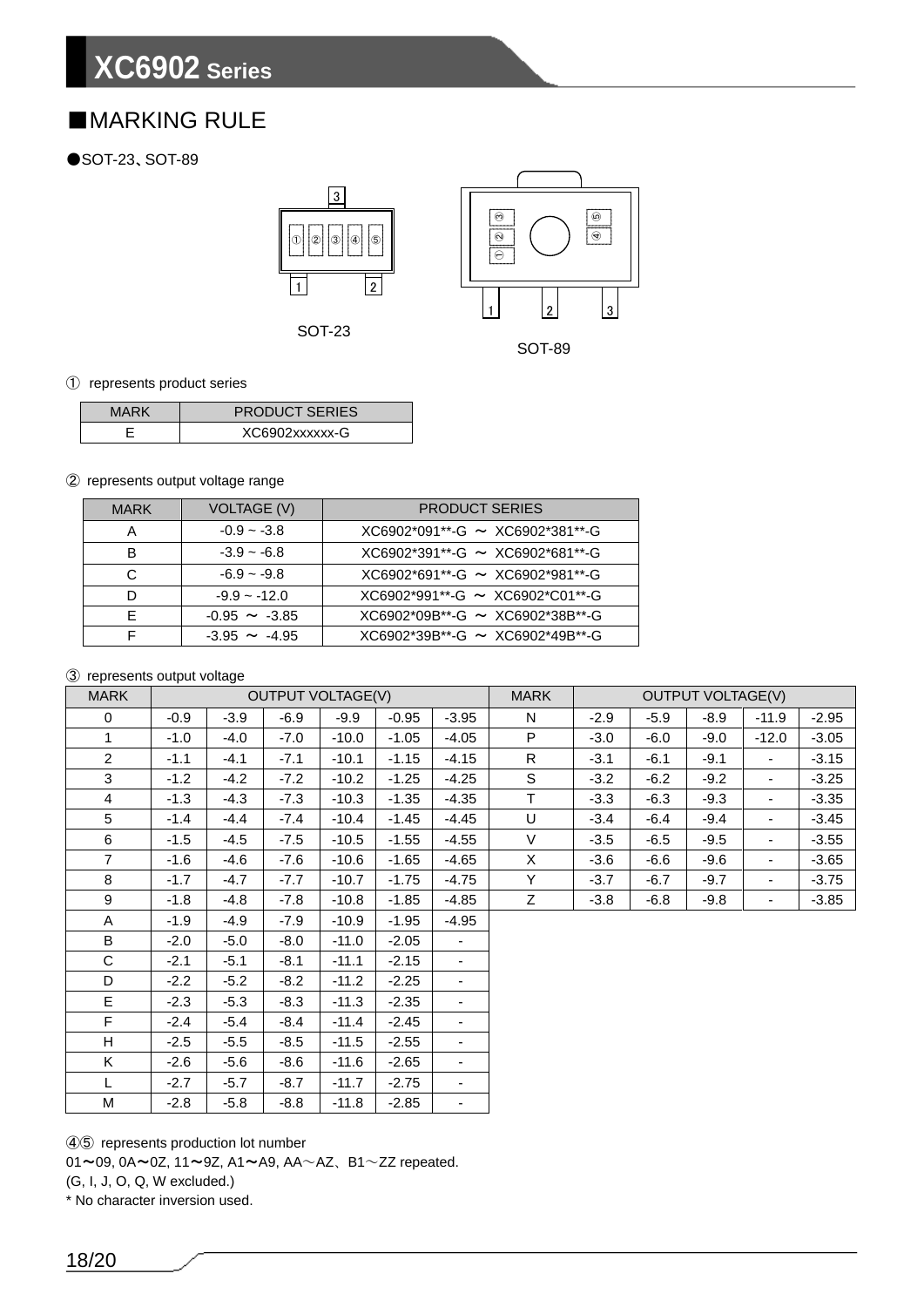# ■MARKING RULE

### ●SOT-23、SOT-89



SOT-89

### ① represents product series

| MARK | <b>PRODUCT SERIES</b> |
|------|-----------------------|
|      | XC6902xxxxxx-G        |

### ② represents output voltage range

| <b>MARK</b> | VOLTAGE (V)        | <b>PRODUCT SERIES</b>                |
|-------------|--------------------|--------------------------------------|
| Α           | $-0.9 - -3.8$      | $XCG902*091**-G \sim XCG902*381**-G$ |
| в           | $-3.9 - 6.8$       | $XC6902*391**-G \sim XC6902*681**-G$ |
|             | $-6.9 - -9.8$      | $XCG902*691**-G \sim XCG902*981**-G$ |
|             | $-9.9 - -12.0$     | $XC6902*991**-G \sim XC6902*C01**-G$ |
|             | $-0.95 \sim -3.85$ | $XCG902*09B**-G \sim XCG902*38B**-G$ |
|             | $-3.95 \sim -4.95$ | $XC6902*39B**-G \sim XC6902*49B**-G$ |

### ③ represents output voltage

| <b>MARK</b>    | <b>OUTPUT VOLTAGE(V)</b> |        |        |         |         | <b>MARK</b>              | <b>OUTPUT VOLTAGE(V)</b> |        |        |        |                          |         |
|----------------|--------------------------|--------|--------|---------|---------|--------------------------|--------------------------|--------|--------|--------|--------------------------|---------|
| $\mathbf 0$    | $-0.9$                   | $-3.9$ | $-6.9$ | $-9.9$  | $-0.95$ | $-3.95$                  | N                        | $-2.9$ | $-5.9$ | $-8.9$ | $-11.9$                  | $-2.95$ |
| 1              | $-1.0$                   | $-4.0$ | $-7.0$ | $-10.0$ | $-1.05$ | $-4.05$                  | P                        | $-3.0$ | $-6.0$ | $-9.0$ | $-12.0$                  | $-3.05$ |
| $\overline{2}$ | $-1.1$                   | $-4.1$ | $-7.1$ | $-10.1$ | $-1.15$ | $-4.15$                  | $\mathsf{R}$             | $-3.1$ | $-6.1$ | $-9.1$ | $\overline{\phantom{a}}$ | $-3.15$ |
| 3              | $-1.2$                   | $-4.2$ | $-7.2$ | $-10.2$ | $-1.25$ | $-4.25$                  | S                        | $-3.2$ | $-6.2$ | $-9.2$ | $\overline{\phantom{a}}$ | $-3.25$ |
| $\overline{4}$ | $-1.3$                   | $-4.3$ | $-7.3$ | $-10.3$ | $-1.35$ | $-4.35$                  | $\mathsf T$              | $-3.3$ | $-6.3$ | $-9.3$ | $\overline{\phantom{a}}$ | $-3.35$ |
| 5              | $-1.4$                   | -4.4   | $-7.4$ | $-10.4$ | $-1.45$ | $-4.45$                  | U                        | $-3.4$ | $-6.4$ | $-9.4$ | $\overline{\phantom{a}}$ | $-3.45$ |
| 6              | $-1.5$                   | $-4.5$ | $-7.5$ | $-10.5$ | $-1.55$ | $-4.55$                  | V                        | $-3.5$ | $-6.5$ | $-9.5$ | $\overline{\phantom{a}}$ | $-3.55$ |
| $\overline{7}$ | $-1.6$                   | $-4.6$ | $-7.6$ | $-10.6$ | $-1.65$ | $-4.65$                  | X                        | $-3.6$ | $-6.6$ | $-9.6$ | $\blacksquare$           | $-3.65$ |
| 8              | $-1.7$                   | $-4.7$ | $-7.7$ | $-10.7$ | $-1.75$ | $-4.75$                  | Y                        | $-3.7$ | $-6.7$ | $-9.7$ | $\overline{\phantom{a}}$ | $-3.75$ |
| 9              | $-1.8$                   | $-4.8$ | $-7.8$ | $-10.8$ | $-1.85$ | $-4.85$                  | Z                        | $-3.8$ | $-6.8$ | $-9.8$ | $\overline{\phantom{a}}$ | $-3.85$ |
| A              | $-1.9$                   | -4.9   | $-7.9$ | $-10.9$ | $-1.95$ | $-4.95$                  |                          |        |        |        |                          |         |
| B              | $-2.0$                   | $-5.0$ | $-8.0$ | $-11.0$ | $-2.05$ | ٠                        |                          |        |        |        |                          |         |
| C              | $-2.1$                   | $-5.1$ | $-8.1$ | $-11.1$ | $-2.15$ | $\overline{\phantom{a}}$ |                          |        |        |        |                          |         |
| D              | $-2.2$                   | $-5.2$ | $-8.2$ | $-11.2$ | $-2.25$ | ٠                        |                          |        |        |        |                          |         |
| E              | $-2.3$                   | $-5.3$ | $-8.3$ | $-11.3$ | $-2.35$ | ۰                        |                          |        |        |        |                          |         |
| F              | $-2.4$                   | $-5.4$ | $-8.4$ | $-11.4$ | $-2.45$ | ۰                        |                          |        |        |        |                          |         |
| H              | $-2.5$                   | $-5.5$ | $-8.5$ | $-11.5$ | $-2.55$ | -                        |                          |        |        |        |                          |         |
| K              | $-2.6$                   | $-5.6$ | $-8.6$ | $-11.6$ | $-2.65$ | ۰.                       |                          |        |        |        |                          |         |
| L              | $-2.7$                   | $-5.7$ | $-8.7$ | $-11.7$ | $-2.75$ | $\overline{\phantom{0}}$ |                          |        |        |        |                          |         |
| M              | $-2.8$                   | $-5.8$ | $-8.8$ | $-11.8$ | $-2.85$ |                          |                          |        |        |        |                          |         |

④⑤ represents production lot number

 $01 \sim 09$ ,  $0A \sim 0Z$ ,  $11 \sim 9Z$ ,  $A1 \sim A9$ ,  $AA \sim AZ$ ,  $B1 \sim ZZ$  repeated.

(G, I, J, O, Q, W excluded.)

\* No character inversion used.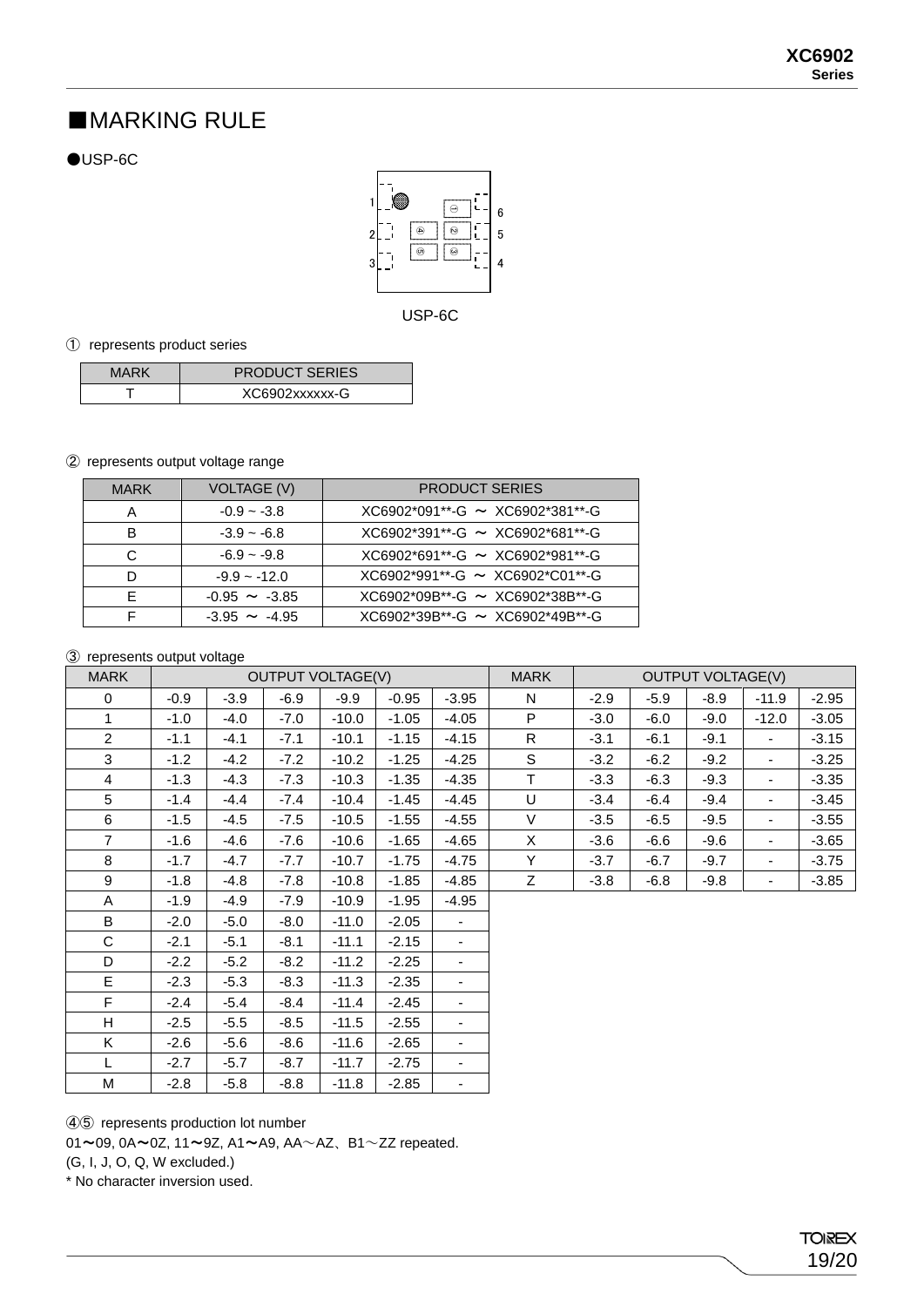# ■MARKING RULE

 $\bigcirc$ USP-6C



USP-6C

① represents product series

| MARK | <b>PRODUCT SERIES</b> |
|------|-----------------------|
|      | XC6902xxxxxx-G        |

### ② represents output voltage range

| <b>MARK</b> | VOLTAGE (V)        | <b>PRODUCT SERIES</b>                |
|-------------|--------------------|--------------------------------------|
|             | $-0.9 - -3.8$      | $XCG902*091**-G \sim XCG902*381**-G$ |
| в           | $-3.9 - 6.8$       | $XCG902*391**-G \sim XCG902*681**-G$ |
| C           | $-6.9 - -9.8$      | $XCG902*691**-G \sim XCG902*981**-G$ |
|             | $-9.9 - -12.0$     | $XC6902*991**-G \sim XC6902*C01**-G$ |
|             | $-0.95 \sim -3.85$ | $XCG902*09B**-G \sim XCG902*38B**-G$ |
|             | $-3.95 \sim -4.95$ | $XCG902*39B**-G \sim XCG902*49B**-G$ |

### ③ represents output voltage

| <b>MARK</b>    | <b>OUTPUT VOLTAGE(V)</b> |        |        |         |         |                          | <b>MARK</b>  | <b>OUTPUT VOLTAGE(V)</b> |        |        |                          |         |
|----------------|--------------------------|--------|--------|---------|---------|--------------------------|--------------|--------------------------|--------|--------|--------------------------|---------|
| 0              | $-0.9$                   | $-3.9$ | $-6.9$ | $-9.9$  | $-0.95$ | $-3.95$                  | N            | $-2.9$                   | $-5.9$ | $-8.9$ | $-11.9$                  | $-2.95$ |
| 1              | $-1.0$                   | $-4.0$ | $-7.0$ | $-10.0$ | $-1.05$ | $-4.05$                  | P            | $-3.0$                   | $-6.0$ | -9.0   | $-12.0$                  | $-3.05$ |
| $\overline{2}$ | $-1.1$                   | $-4.1$ | $-7.1$ | $-10.1$ | $-1.15$ | $-4.15$                  | R            | $-3.1$                   | $-6.1$ | $-9.1$ | $\overline{\phantom{a}}$ | $-3.15$ |
| 3              | $-1.2$                   | $-4.2$ | $-7.2$ | $-10.2$ | $-1.25$ | $-4.25$                  | S            | $-3.2$                   | $-6.2$ | $-9.2$ | $\overline{\phantom{a}}$ | $-3.25$ |
| 4              | $-1.3$                   | $-4.3$ | $-7.3$ | $-10.3$ | $-1.35$ | $-4.35$                  | T.           | $-3.3$                   | $-6.3$ | $-9.3$ | $\overline{\phantom{a}}$ | $-3.35$ |
| 5              | $-1.4$                   | $-4.4$ | $-7.4$ | $-10.4$ | $-1.45$ | $-4.45$                  | U            | $-3.4$                   | $-6.4$ | $-9.4$ | $\overline{\phantom{a}}$ | $-3.45$ |
| 6              | $-1.5$                   | $-4.5$ | $-7.5$ | $-10.5$ | $-1.55$ | $-4.55$                  | V            | $-3.5$                   | $-6.5$ | -9.5   | $\overline{\phantom{a}}$ | $-3.55$ |
| $\overline{7}$ | $-1.6$                   | $-4.6$ | $-7.6$ | $-10.6$ | $-1.65$ | $-4.65$                  | $\mathsf{X}$ | $-3.6$                   | $-6.6$ | -9.6   | $\overline{\phantom{a}}$ | $-3.65$ |
| 8              | $-1.7$                   | $-4.7$ | $-7.7$ | $-10.7$ | $-1.75$ | $-4.75$                  | Y            | $-3.7$                   | $-6.7$ | $-9.7$ | $\overline{\phantom{a}}$ | $-3.75$ |
| 9              | $-1.8$                   | $-4.8$ | $-7.8$ | $-10.8$ | $-1.85$ | $-4.85$                  | Z.           | $-3.8$                   | $-6.8$ | $-9.8$ | $\overline{\phantom{a}}$ | $-3.85$ |
| A              | $-1.9$                   | -4.9   | $-7.9$ | $-10.9$ | $-1.95$ | $-4.95$                  |              |                          |        |        |                          |         |
| B              | $-2.0$                   | $-5.0$ | $-8.0$ | $-11.0$ | $-2.05$ | $\blacksquare$           |              |                          |        |        |                          |         |
| $\mathsf C$    | $-2.1$                   | $-5.1$ | $-8.1$ | $-11.1$ | $-2.15$ | $\blacksquare$           |              |                          |        |        |                          |         |
| D              | $-2.2$                   | $-5.2$ | $-8.2$ | $-11.2$ | $-2.25$ | $\overline{\phantom{0}}$ |              |                          |        |        |                          |         |
| E              | $-2.3$                   | $-5.3$ | $-8.3$ | $-11.3$ | $-2.35$ | $\overline{\phantom{0}}$ |              |                          |        |        |                          |         |
| F              | $-2.4$                   | $-5.4$ | $-8.4$ | $-11.4$ | $-2.45$ | $\sim$                   |              |                          |        |        |                          |         |
| H              | $-2.5$                   | $-5.5$ | $-8.5$ | $-11.5$ | $-2.55$ | $\blacksquare$           |              |                          |        |        |                          |         |
| K              | $-2.6$                   | $-5.6$ | $-8.6$ | $-11.6$ | $-2.65$ | Ξ.                       |              |                          |        |        |                          |         |
| L              | $-2.7$                   | $-5.7$ | $-8.7$ | $-11.7$ | $-2.75$ | $\overline{\phantom{0}}$ |              |                          |        |        |                          |         |
| M              | $-2.8$                   | $-5.8$ | $-8.8$ | $-11.8$ | $-2.85$ | ٠                        |              |                          |        |        |                          |         |

④⑤ represents production lot number

 $01 \sim 09$ ,  $0A \sim 0Z$ ,  $11 \sim 9Z$ ,  $A1 \sim A9$ ,  $AA \sim AZ$ ,  $B1 \sim ZZ$  repeated.

(G, I, J, O, Q, W excluded.)

\* No character inversion used.